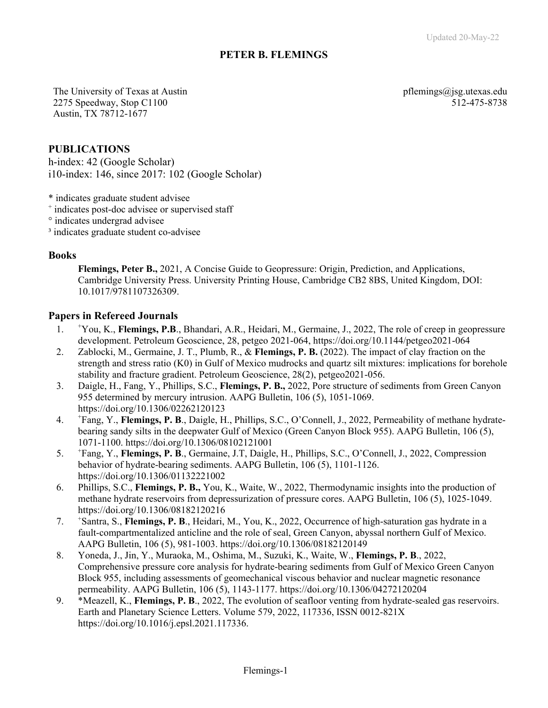# **PETER B. FLEMINGS**

The University of Texas at Austin  $\mathbf{p}$  is a proportional pflemings  $\mathbf{a}$  is g.utexas.edu 2275 Speedway, Stop C1100 512-475-8738 Austin, TX 78712-1677

### **PUBLICATIONS**

h-index: 42 (Google Scholar) i10-index: 146, since 2017: 102 (Google Scholar)

\* indicates graduate student advisee

+ indicates post-doc advisee or supervised staff

° indicates undergrad advisee

<sup>3</sup> indicates graduate student co-advisee

#### **Books**

**Flemings, Peter B.,** 2021, A Concise Guide to Geopressure: Origin, Prediction, and Applications, Cambridge University Press. University Printing House, Cambridge CB2 8BS, United Kingdom, DOI: 10.1017/9781107326309.

#### **Papers in Refereed Journals**

- $1<sub>1</sub>$ You, K., **Flemings, P.B**., Bhandari, A.R., Heidari, M., Germaine, J., 2022, The role of creep in geopressure development. Petroleum Geoscience, 28, petgeo 2021-064, https://doi.org/10.1144/petgeo2021-064
- 2. Zablocki, M., Germaine, J. T., Plumb, R., & **Flemings, P. B.** (2022). The impact of clay fraction on the strength and stress ratio (K0) in Gulf of Mexico mudrocks and quartz silt mixtures: implications for borehole stability and fracture gradient. Petroleum Geoscience, 28(2), petgeo2021-056.
- 3. Daigle, H., Fang, Y., Phillips, S.C., **Flemings, P. B.,** 2022, Pore structure of sediments from Green Canyon 955 determined by mercury intrusion. AAPG Bulletin, 106 (5), 1051-1069. https://doi.org/10.1306/02262120123
- $4.$ Fang, Y., **Flemings, P. B**., Daigle, H., Phillips, S.C., O'Connell, J., 2022, Permeability of methane hydratebearing sandy silts in the deepwater Gulf of Mexico (Green Canyon Block 955). AAPG Bulletin, 106 (5), 1071-1100. https://doi.org/10.1306/08102121001
- 5. <sup>+</sup> Fang, Y., **Flemings, P. B**., Germaine, J.T, Daigle, H., Phillips, S.C., O'Connell, J., 2022, Compression behavior of hydrate-bearing sediments. AAPG Bulletin, 106 (5), 1101-1126. https://doi.org/10.1306/01132221002
- 6. Phillips, S.C., **Flemings, P. B.,** You, K., Waite, W., 2022, Thermodynamic insights into the production of methane hydrate reservoirs from depressurization of pressure cores. AAPG Bulletin, 106 (5), 1025-1049. https://doi.org/10.1306/08182120216
- 7. <sup>+</sup> <sup>+</sup>Santra, S., **Flemings, P. B**., Heidari, M., You, K., 2022, Occurrence of high-saturation gas hydrate in a fault-compartmentalized anticline and the role of seal, Green Canyon, abyssal northern Gulf of Mexico. AAPG Bulletin, 106 (5), 981-1003. https://doi.org/10.1306/08182120149
- 8. Yoneda, J., Jin, Y., Muraoka, M., Oshima, M., Suzuki, K., Waite, W., **Flemings, P. B**., 2022, Comprehensive pressure core analysis for hydrate-bearing sediments from Gulf of Mexico Green Canyon Block 955, including assessments of geomechanical viscous behavior and nuclear magnetic resonance permeability. AAPG Bulletin, 106 (5), 1143-1177. https://doi.org/10.1306/04272120204
- 9. \*Meazell, K., **Flemings, P. B**., 2022, The evolution of seafloor venting from hydrate-sealed gas reservoirs. Earth and Planetary Science Letters. Volume 579, 2022, 117336, ISSN 0012-821X https://doi.org/10.1016/j.epsl.2021.117336.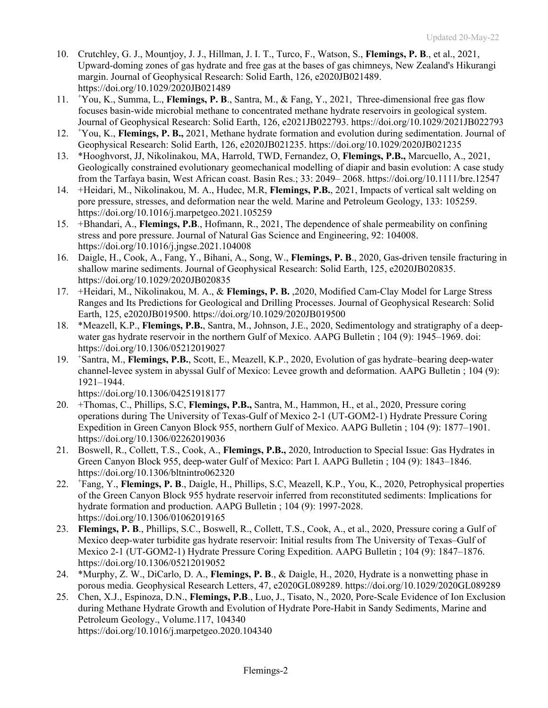- 10. Crutchley, G. J., Mountjoy, J. J., Hillman, J. I. T., Turco, F., Watson, S., **Flemings, P. B**., et al., 2021, Upward-doming zones of gas hydrate and free gas at the bases of gas chimneys, New Zealand's Hikurangi margin. Journal of Geophysical Research: Solid Earth, 126, e2020JB021489. https://doi.org/10.1029/2020JB021489
- 11. <sup>+</sup> You, K., Summa, L., **Flemings, P. B**., Santra, M., & Fang, Y., 2021, Three-dimensional free gas flow focuses basin-wide microbial methane to concentrated methane hydrate reservoirs in geological system. Journal of Geophysical Research: Solid Earth, 126, e2021JB022793. https://doi.org/10.1029/2021JB022793
- $12.$ You, K., **Flemings, P. B.,** 2021, Methane hydrate formation and evolution during sedimentation. Journal of Geophysical Research: Solid Earth, 126, e2020JB021235. https://doi.org/10.1029/2020JB021235
- 13. \*Hooghvorst, JJ, Nikolinakou, MA, Harrold, TWD, Fernandez, O, **Flemings, P.B.,** Marcuello, A., 2021, Geologically constrained evolutionary geomechanical modelling of diapir and basin evolution: A case study from the Tarfaya basin, West African coast. Basin Res.; 33: 2049– 2068. https://doi.org/10.1111/bre.12547
- 14. +Heidari, M., Nikolinakou, M. A., Hudec, M.R, **Flemings, P.B.**, 2021, Impacts of vertical salt welding on pore pressure, stresses, and deformation near the weld. Marine and Petroleum Geology, 133: 105259. https://doi.org/10.1016/j.marpetgeo.2021.105259
- 15. +Bhandari, A., **Flemings, P.B**., Hofmann, R., 2021, The dependence of shale permeability on confining stress and pore pressure. Journal of Natural Gas Science and Engineering, 92: 104008. https://doi.org/10.1016/j.jngse.2021.104008
- 16. Daigle, H., Cook, A., Fang, Y., Bihani, A., Song, W., Flemings, P. B., 2020, Gas-driven tensile fracturing in shallow marine sediments. Journal of Geophysical Research: Solid Earth, 125, e2020JB020835. https://doi.org/10.1029/2020JB020835
- 17. +Heidari, M., Nikolinakou, M. A., & **Flemings, P. B.** ,2020, Modified Cam‐Clay Model for Large Stress Ranges and Its Predictions for Geological and Drilling Processes. Journal of Geophysical Research: Solid Earth, 125, e2020JB019500. https://doi.org/10.1029/2020JB019500
- 18. \*Meazell, K.P., **Flemings, P.B.**, Santra, M., Johnson, J.E., 2020, Sedimentology and stratigraphy of a deepwater gas hydrate reservoir in the northern Gulf of Mexico. AAPG Bulletin ; 104 (9): 1945–1969. doi: https://doi.org/10.1306/05212019027
- 19. <sup>+</sup> Santra, M., **Flemings, P.B.**, Scott, E., Meazell, K.P., 2020, Evolution of gas hydrate–bearing deep-water channel-levee system in abyssal Gulf of Mexico: Levee growth and deformation. AAPG Bulletin ; 104 (9): 1921–1944.

https://doi.org/10.1306/04251918177

- 20. +Thomas, C., Phillips, S.C, **Flemings, P.B.,** Santra, M., Hammon, H., et al., 2020, Pressure coring operations during The University of Texas-Gulf of Mexico 2-1 (UT-GOM2-1) Hydrate Pressure Coring Expedition in Green Canyon Block 955, northern Gulf of Mexico. AAPG Bulletin ; 104 (9): 1877–1901. https://doi.org/10.1306/02262019036
- 21. Boswell, R., Collett, T.S., Cook, A., **Flemings, P.B.,** 2020, Introduction to Special Issue: Gas Hydrates in Green Canyon Block 955, deep-water Gulf of Mexico: Part I. AAPG Bulletin ; 104 (9): 1843–1846. https://doi.org/10.1306/bltnintro062320
- $22.$ Fang, Y., **Flemings, P. B**., Daigle, H., Phillips, S.C, Meazell, K.P., You, K., 2020, Petrophysical properties of the Green Canyon Block 955 hydrate reservoir inferred from reconstituted sediments: Implications for hydrate formation and production. AAPG Bulletin ; 104 (9): 1997-2028. https://doi.org/10.1306/01062019165
- 23. **Flemings, P. B**., Phillips, S.C., Boswell, R., Collett, T.S., Cook, A., et al., 2020, Pressure coring a Gulf of Mexico deep-water turbidite gas hydrate reservoir: Initial results from The University of Texas–Gulf of Mexico 2-1 (UT-GOM2-1) Hydrate Pressure Coring Expedition. AAPG Bulletin ; 104 (9): 1847–1876. https://doi.org/10.1306/05212019052
- 24. \*Murphy, Z. W., DiCarlo, D. A., **Flemings, P. B**., & Daigle, H., 2020, Hydrate is a nonwetting phase in porous media. Geophysical Research Letters, 47, e2020GL089289. https://doi.org/10.1029/2020GL089289
- 25. Chen, X.J., Espinoza, D.N., **Flemings, P.B**., Luo, J., Tisato, N., 2020, Pore-Scale Evidence of Ion Exclusion during Methane Hydrate Growth and Evolution of Hydrate Pore-Habit in Sandy Sediments, Marine and Petroleum Geology., Volume.117, 104340 https://doi.org/10.1016/j.marpetgeo.2020.104340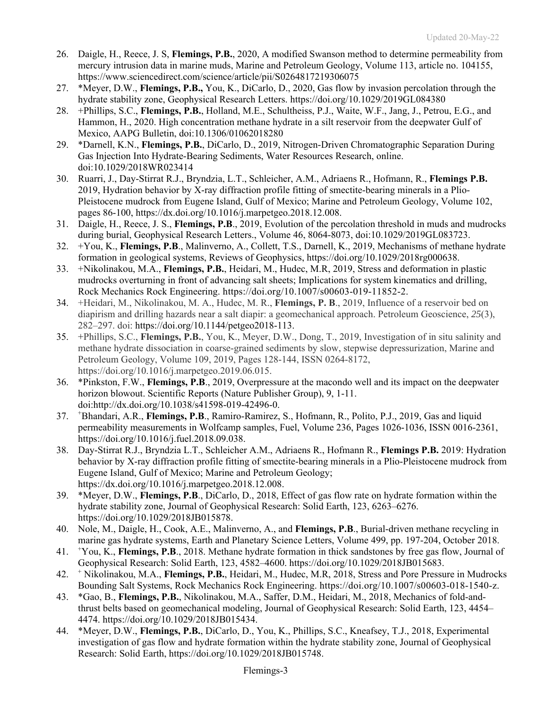- 26. Daigle, H., Reece, J. S, **Flemings, P.B.**, 2020, A modified Swanson method to determine permeability from mercury intrusion data in marine muds, Marine and Petroleum Geology, Volume 113, article no. 104155, https://www.sciencedirect.com/science/article/pii/S0264817219306075
- 27. \*Meyer, D.W., **Flemings, P.B.,** You, K., DiCarlo, D., 2020, Gas flow by invasion percolation through the hydrate stability zone, Geophysical Research Letters. https://doi.org/10.1029/2019GL084380
- 28. +Phillips, S.C., **Flemings, P.B.**, Holland, M.E., Schultheiss, P.J., Waite, W.F., Jang, J., Petrou, E.G., and Hammon, H., 2020. High concentration methane hydrate in a silt reservoir from the deepwater Gulf of Mexico, AAPG Bulletin, doi:10.1306/01062018280
- 29. \*Darnell, K.N., **Flemings, P.B.**, DiCarlo, D., 2019, Nitrogen‐Driven Chromatographic Separation During Gas Injection Into Hydrate‐Bearing Sediments, Water Resources Research, online. doi:10.1029/2018WR023414
- 30. Ruarri, J., Day-Stirrat R.J., Bryndzia, L.T., Schleicher, A.M., Adriaens R., Hofmann, R., **Flemings P.B.** 2019, Hydration behavior by X-ray diffraction profile fitting of smectite-bearing minerals in a Plio-Pleistocene mudrock from Eugene Island, Gulf of Mexico; Marine and Petroleum Geology, Volume 102, pages 86-100, https://dx.doi.org/10.1016/j.marpetgeo.2018.12.008.
- 31. Daigle, H., Reece, J. S., **Flemings, P.B**., 2019, Evolution of the percolation threshold in muds and mudrocks during burial, Geophysical Research Letters., Volume 46, 8064-8073, doi:10.1029/2019GL083723.
- 32. +You, K., **Flemings, P.B**., Malinverno, A., Collett, T.S., Darnell, K., 2019, Mechanisms of methane hydrate formation in geological systems, Reviews of Geophysics, https://doi.org/10.1029/2018rg000638.
- 33. +Nikolinakou, M.A., **Flemings, P.B.**, Heidari, M., Hudec, M.R, 2019, Stress and deformation in plastic mudrocks overturning in front of advancing salt sheets; Implications for system kinematics and drilling, Rock Mechanics Rock Engineering. https://doi.org/10.1007/s00603-019-11852-2.
- 34. +Heidari, M., Nikolinakou, M. A., Hudec, M. R., **Flemings, P. B**., 2019, Influence of a reservoir bed on diapirism and drilling hazards near a salt diapir: a geomechanical approach. Petroleum Geoscience, *25*(3), 282–297. doi: https://doi.org/10.1144/petgeo2018-113.
- 35. +Phillips, S.C., **Flemings, P.B.**, You, K., Meyer, D.W., Dong, T., 2019, Investigation of in situ salinity and methane hydrate dissociation in coarse-grained sediments by slow, stepwise depressurization, Marine and Petroleum Geology, Volume 109, 2019, Pages 128-144, ISSN 0264-8172, https://doi.org/10.1016/j.marpetgeo.2019.06.015.
- 36. \*Pinkston, F.W., **Flemings, P.B**., 2019, Overpressure at the macondo well and its impact on the deepwater horizon blowout. Scientific Reports (Nature Publisher Group), 9, 1-11. doi:http://dx.doi.org/10.1038/s41598-019-42496-0.
- $37.$ Bhandari, A.R., **Flemings, P.B**., Ramiro-Ramirez, S., Hofmann, R., Polito, P.J., 2019, Gas and liquid permeability measurements in Wolfcamp samples, Fuel, Volume 236, Pages 1026-1036, ISSN 0016-2361, https://doi.org/10.1016/j.fuel.2018.09.038.
- 38. Day-Stirrat R.J., Bryndzia L.T., Schleicher A.M., Adriaens R., Hofmann R., **Flemings P.B.** 2019: Hydration behavior by X-ray diffraction profile fitting of smectite-bearing minerals in a Plio-Pleistocene mudrock from Eugene Island, Gulf of Mexico; Marine and Petroleum Geology; https://dx.doi.org/10.1016/j.marpetgeo.2018.12.008.
- 39. \*Meyer, D.W., **Flemings, P.B**., DiCarlo, D., 2018, Effect of gas flow rate on hydrate formation within the hydrate stability zone, Journal of Geophysical Research: Solid Earth, 123, 6263–6276. https://doi.org/10.1029/2018JB015878.
- 40. Nole, M., Daigle, H., Cook, A.E., Malinverno, A., and **Flemings, P.B**., Burial-driven methane recycling in marine gas hydrate systems, Earth and Planetary Science Letters, Volume 499, pp. 197-204, October 2018.
- 41. <sup>+</sup> You, K., **Flemings, P.B**., 2018. Methane hydrate formation in thick sandstones by free gas flow, Journal of Geophysical Research: Solid Earth, 123, 4582–4600. https://doi.org/10.1029/2018JB015683.
- 42. <sup>+</sup> Nikolinakou, M.A., **Flemings, P.B.**, Heidari, M., Hudec, M.R, 2018, Stress and Pore Pressure in Mudrocks Bounding Salt Systems, Rock Mechanics Rock Engineering. https://doi.org/10.1007/s00603-018-1540-z.
- 43. \*Gao, B., **Flemings, P.B.**, Nikolinakou, M.A., Saffer, D.M., Heidari, M., 2018, Mechanics of fold-andthrust belts based on geomechanical modeling, Journal of Geophysical Research: Solid Earth, 123, 4454– 4474. https://doi.org/10.1029/2018JB015434.
- 44. \*Meyer, D.W., **Flemings, P.B.**, DiCarlo, D., You, K., Phillips, S.C., Kneafsey, T.J., 2018, Experimental investigation of gas flow and hydrate formation within the hydrate stability zone, Journal of Geophysical Research: Solid Earth, https://doi.org/10.1029/2018JB015748.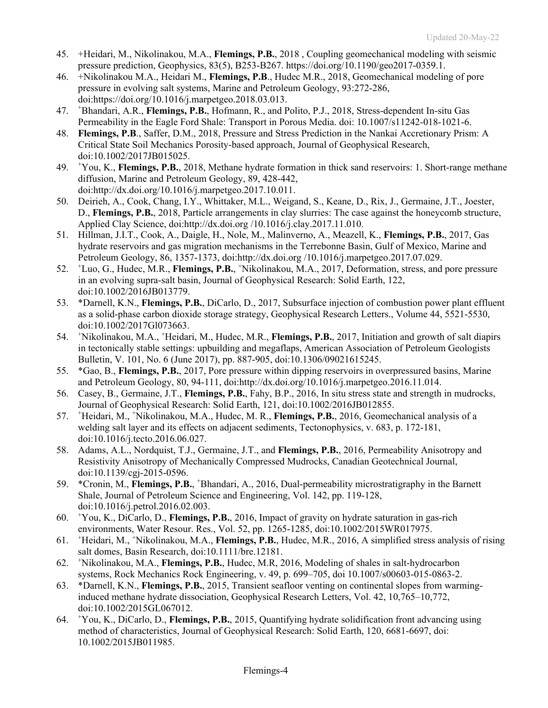- 45. +Heidari, M., Nikolinakou, M.A., **Flemings, P.B.**, 2018 , Coupling geomechanical modeling with seismic pressure prediction, Geophysics, 83(5), B253-B267. https://doi.org/10.1190/geo2017-0359.1.
- 46. +Nikolinakou M.A., Heidari M., **Flemings, P.B**., Hudec M.R., 2018, Geomechanical modeling of pore pressure in evolving salt systems, Marine and Petroleum Geology, 93:272-286, doi:https://doi.org/10.1016/j.marpetgeo.2018.03.013.
- 47. <sup>+</sup> Bhandari, A.R., **Flemings, P.B.**, Hofmann, R., and Polito, P.J., 2018, Stress-dependent In-situ Gas Permeability in the Eagle Ford Shale: Transport in Porous Media. doi: 10.1007/s11242-018-1021-6.
- 48. **Flemings, P.B**., Saffer, D.M., 2018, Pressure and Stress Prediction in the Nankai Accretionary Prism: A Critical State Soil Mechanics Porosity-based approach, Journal of Geophysical Research, doi:10.1002/2017JB015025.
- 49. <sup>+</sup> You, K., **Flemings, P.B.**, 2018, Methane hydrate formation in thick sand reservoirs: 1. Short-range methane diffusion, Marine and Petroleum Geology, 89, 428-442, doi:http://dx.doi.org/10.1016/j.marpetgeo.2017.10.011.
- 50. Deirieh, A., Cook, Chang, I.Y., Whittaker, M.L., Weigand, S., Keane, D., Rix, J., Germaine, J.T., Joester, D., **Flemings, P.B.**, 2018, Particle arrangements in clay slurries: The case against the honeycomb structure, Applied Clay Science, doi:http://dx.doi.org /10.1016/j.clay.2017.11.010.
- 51. Hillman, J.I.T., Cook, A., Daigle, H., Nole, M., Malinverno, A., Meazell, K., **Flemings, P.B.**, 2017, Gas hydrate reservoirs and gas migration mechanisms in the Terrebonne Basin, Gulf of Mexico, Marine and Petroleum Geology, 86, 1357-1373, doi:http://dx.doi.org /10.1016/j.marpetgeo.2017.07.029.
- 52. <sup>+</sup> Luo, G., Hudec, M.R., **Flemings, P.B.**, <sup>+</sup> Nikolinakou, M.A., 2017, Deformation, stress, and pore pressure in an evolving supra-salt basin, Journal of Geophysical Research: Solid Earth, 122, doi:10.1002/2016JB013779.
- 53. \*Darnell, K.N., **Flemings, P.B.**, DiCarlo, D., 2017, Subsurface injection of combustion power plant effluent as a solid-phase carbon dioxide storage strategy, Geophysical Research Letters., Volume 44, 5521-5530, doi:10.1002/2017Gl073663.
- 54. <sup>+</sup> Nikolinakou, M.A., <sup>+</sup>Heidari, M., Hudec, M.R., Flemings, P.B., 2017, Initiation and growth of salt diapirs in tectonically stable settings: upbuilding and megaflaps, American Association of Petroleum Geologists Bulletin, V. 101, No. 6 (June 2017), pp. 887-905, doi:10.1306/09021615245.
- 55. \*Gao, B., **Flemings, P.B.**, 2017, Pore pressure within dipping reservoirs in overpressured basins, Marine and Petroleum Geology, 80, 94-111, doi:http://dx.doi.org/10.1016/j.marpetgeo.2016.11.014.
- 56. Casey, B., Germaine, J.T., **Flemings, P.B.**, Fahy, B.P., 2016, In situ stress state and strength in mudrocks, Journal of Geophysical Research: Solid Earth, 121, doi:10.1002/2016JB012855.
- 57. <sup>+</sup> Heidari, M., + Nikolinakou, M.A., Hudec, M. R., **Flemings, P.B.**, 2016, Geomechanical analysis of a welding salt layer and its effects on adjacent sediments, Tectonophysics, v. 683, p. 172-181, doi:10.1016/j.tecto.2016.06.027.
- 58. Adams, A.L., Nordquist, T.J., Germaine, J.T., and **Flemings, P.B.**, 2016, Permeability Anisotropy and Resistivity Anisotropy of Mechanically Compressed Mudrocks, Canadian Geotechnical Journal, doi:10.1139/cgj-2015-0596.
- 59. \*Cronin, M., **Flemings, P.B.**, <sup>+</sup> Bhandari, A., 2016, Dual-permeability microstratigraphy in the Barnett Shale, Journal of Petroleum Science and Engineering, Vol. 142, pp. 119-128, doi:10.1016/j.petrol.2016.02.003.
- 60. <sup>+</sup> You, K., DiCarlo, D., **Flemings, P.B.**, 2016, Impact of gravity on hydrate saturation in gas-rich environments, Water Resour. Res., Vol. 52, pp. 1265-1285, doi:10.1002/2015WR017975.
- 61. <sup>+</sup> Heidari, M., <sup>+</sup>Nikolinakou, M.A., **Flemings, P.B.**, Hudec, M.R., 2016, A simplified stress analysis of rising salt domes, Basin Research, doi:10.1111/bre.12181.
- $62.$ Nikolinakou, M.A., **Flemings, P.B.**, Hudec, M.R, 2016, Modeling of shales in salt-hydrocarbon systems, Rock Mechanics Rock Engineering, v. 49, p. 699–705, doi 10.1007/s00603-015-0863-2.
- 63. \*Darnell, K.N., **Flemings, P.B.**, 2015, Transient seafloor venting on continental slopes from warminginduced methane hydrate dissociation, Geophysical Research Letters, Vol. 42, 10,765–10,772, doi:10.1002/2015GL067012.
- 64. <sup>+</sup> You, K., DiCarlo, D., **Flemings, P.B.**, 2015, Quantifying hydrate solidification front advancing using method of characteristics, Journal of Geophysical Research: Solid Earth, 120, 6681-6697, doi: 10.1002/2015JB011985.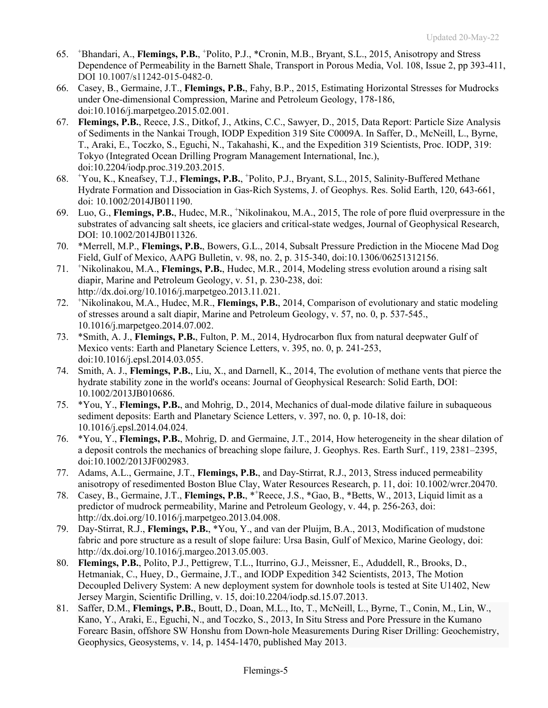- 65. <sup>+</sup> Bhandari, A., **Flemings, P.B.**, <sup>+</sup> Polito, P.J., \*Cronin, M.B., Bryant, S.L., 2015, Anisotropy and Stress Dependence of Permeability in the Barnett Shale, Transport in Porous Media, Vol. 108, Issue 2, pp 393-411, DOI 10.1007/s11242-015-0482-0.
- 66. Casey, B., Germaine, J.T., **Flemings, P.B.**, Fahy, B.P., 2015, Estimating Horizontal Stresses for Mudrocks under One-dimensional Compression, Marine and Petroleum Geology, 178-186, doi:10.1016/j.marpetgeo.2015.02.001.
- 67. **Flemings, P.B.**, Reece, J.S., Ditkof, J., Atkins, C.C., Sawyer, D., 2015, Data Report: Particle Size Analysis of Sediments in the Nankai Trough, IODP Expedition 319 Site C0009A. In Saffer, D., McNeill, L., Byrne, T., Araki, E., Toczko, S., Eguchi, N., Takahashi, K., and the Expedition 319 Scientists, Proc. IODP, 319: Tokyo (Integrated Ocean Drilling Program Management International, Inc.), doi:10.2204/iodp.proc.319.203.2015.
- 68. <sup>+</sup> You, K., Kneafsey, T.J., **Flemings, P.B.**, <sup>+</sup> Polito, P.J., Bryant, S.L., 2015, Salinity-Buffered Methane Hydrate Formation and Dissociation in Gas-Rich Systems, J. of Geophys. Res. Solid Earth, 120, 643-661, doi: 10.1002/2014JB011190.
- 69. Luo, G., **Flemings, P.B.**, Hudec, M.R., <sup>+</sup> Nikolinakou, M.A., 2015, The role of pore fluid overpressure in the substrates of advancing salt sheets, ice glaciers and critical-state wedges, Journal of Geophysical Research, DOI: 10.1002/2014JB011326.
- 70. \*Merrell, M.P., **Flemings, P.B.**, Bowers, G.L., 2014, Subsalt Pressure Prediction in the Miocene Mad Dog Field, Gulf of Mexico, AAPG Bulletin, v. 98, no. 2, p. 315-340, doi:10.1306/06251312156.
- 71. <sup>+</sup> Nikolinakou, M.A., **Flemings, P.B.**, Hudec, M.R., 2014, Modeling stress evolution around a rising salt diapir, Marine and Petroleum Geology, v. 51, p. 230-238, doi: http://dx.doi.org/10.1016/j.marpetgeo.2013.11.021.
- 72. <sup>+</sup> Nikolinakou, M.A., Hudec, M.R., **Flemings, P.B.**, 2014, Comparison of evolutionary and static modeling of stresses around a salt diapir, Marine and Petroleum Geology, v. 57, no. 0, p. 537-545., 10.1016/j.marpetgeo.2014.07.002.
- 73. \*Smith, A. J., **Flemings, P.B.**, Fulton, P. M., 2014, Hydrocarbon flux from natural deepwater Gulf of Mexico vents: Earth and Planetary Science Letters, v. 395, no. 0, p. 241-253, doi:10.1016/j.epsl.2014.03.055.
- 74. Smith, A. J., **Flemings, P.B.**, Liu, X., and Darnell, K., 2014, The evolution of methane vents that pierce the hydrate stability zone in the world's oceans: Journal of Geophysical Research: Solid Earth, DOI: 10.1002/2013JB010686.
- 75. \*You, Y., **Flemings, P.B.**, and Mohrig, D., 2014, Mechanics of dual-mode dilative failure in subaqueous sediment deposits: Earth and Planetary Science Letters, v. 397, no. 0, p. 10-18, doi: 10.1016/j.epsl.2014.04.024.
- 76. \*You, Y., **Flemings, P.B.**, Mohrig, D. and Germaine, J.T., 2014, How heterogeneity in the shear dilation of a deposit controls the mechanics of breaching slope failure, J. Geophys. Res. Earth Surf., 119, 2381–2395, doi:10.1002/2013JF002983.
- 77. Adams, A.L., Germaine, J.T., **Flemings, P.B.**, and Day-Stirrat, R.J., 2013, Stress induced permeability anisotropy of resedimented Boston Blue Clay, Water Resources Research, p. 11, doi: 10.1002/wrcr.20470.
- 78. Casey, B., Germaine, J.T., **Flemings, P.B.**, \*<sup>+</sup> Reece, J.S., \*Gao, B., \*Betts, W., 2013, Liquid limit as a predictor of mudrock permeability, Marine and Petroleum Geology, v. 44, p. 256-263, doi: http://dx.doi.org/10.1016/j.marpetgeo.2013.04.008.
- 79. Day-Stirrat, R.J., **Flemings, P.B.**, \*You, Y., and van der Pluijm, B.A., 2013, Modification of mudstone fabric and pore structure as a result of slope failure: Ursa Basin, Gulf of Mexico, Marine Geology, doi: http://dx.doi.org/10.1016/j.margeo.2013.05.003.
- 80. **Flemings, P.B.**, Polito, P.J., Pettigrew, T.L., Iturrino, G.J., Meissner, E., Aduddell, R., Brooks, D., Hetmaniak, C., Huey, D., Germaine, J.T., and IODP Expedition 342 Scientists, 2013, The Motion Decoupled Delivery System: A new deployment system for downhole tools is tested at Site U1402, New Jersey Margin, Scientific Drilling, v. 15, doi:10.2204/iodp.sd.15.07.2013.
- 81. Saffer, D.M., **Flemings, P.B.**, Boutt, D., Doan, M.L., Ito, T., McNeill, L., Byrne, T., Conin, M., Lin, W., Kano, Y., Araki, E., Eguchi, N., and Toczko, S., 2013, In Situ Stress and Pore Pressure in the Kumano Forearc Basin, offshore SW Honshu from Down-hole Measurements During Riser Drilling: Geochemistry, Geophysics, Geosystems, v. 14, p. 1454-1470, published May 2013.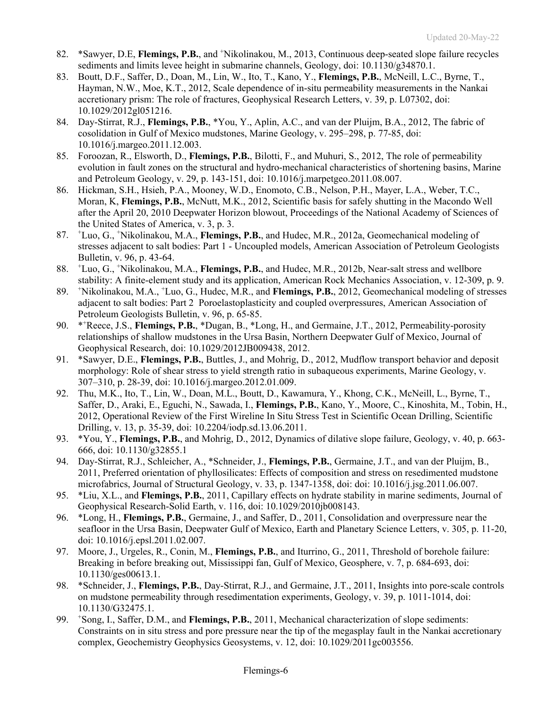- 82. \* Sawyer, D.E, Flemings, P.B., and <sup>+</sup>Nikolinakou, M., 2013, Continuous deep-seated slope failure recycles sediments and limits levee height in submarine channels, Geology, doi: 10.1130/g34870.1.
- 83. Boutt, D.F., Saffer, D., Doan, M., Lin, W., Ito, T., Kano, Y., **Flemings, P.B.**, McNeill, L.C., Byrne, T., Hayman, N.W., Moe, K.T., 2012, Scale dependence of in-situ permeability measurements in the Nankai accretionary prism: The role of fractures, Geophysical Research Letters, v. 39, p. L07302, doi: 10.1029/2012gl051216.
- 84. Day-Stirrat, R.J., **Flemings, P.B.**, \*You, Y., Aplin, A.C., and van der Pluijm, B.A., 2012, The fabric of cosolidation in Gulf of Mexico mudstones, Marine Geology, v. 295–298, p. 77-85, doi: 10.1016/j.margeo.2011.12.003.
- 85. Foroozan, R., Elsworth, D., **Flemings, P.B.**, Bilotti, F., and Muhuri, S., 2012, The role of permeability evolution in fault zones on the structural and hydro-mechanical characteristics of shortening basins, Marine and Petroleum Geology, v. 29, p. 143-151, doi: 10.1016/j.marpetgeo.2011.08.007.
- 86. Hickman, S.H., Hsieh, P.A., Mooney, W.D., Enomoto, C.B., Nelson, P.H., Mayer, L.A., Weber, T.C., Moran, K, **Flemings, P.B.**, McNutt, M.K., 2012, Scientific basis for safely shutting in the Macondo Well after the April 20, 2010 Deepwater Horizon blowout, Proceedings of the National Academy of Sciences of the United States of America, v. 3, p. 3.
- 87. <sup>+</sup> Luo, G., + Nikolinakou, M.A., **Flemings, P.B.**, and Hudec, M.R., 2012a, Geomechanical modeling of stresses adjacent to salt bodies: Part 1 - Uncoupled models, American Association of Petroleum Geologists Bulletin, v. 96, p. 43-64.
- 88. <sup>+</sup> Luo, G., + Nikolinakou, M.A., **Flemings, P.B.**, and Hudec, M.R., 2012b, Near-salt stress and wellbore stability: A finite-element study and its application, American Rock Mechanics Association, v. 12-309, p. 9.
- 89. <sup>+</sup> Nikolinakou, M.A., <sup>+</sup> Luo, G., Hudec, M.R., and **Flemings, P.B.**, 2012, Geomechanical modeling of stresses adjacent to salt bodies: Part 2 Poroelastoplasticity and coupled overpressures, American Association of Petroleum Geologists Bulletin, v. 96, p. 65-85.
- 90. \*\*Reece, J.S., Flemings, P.B., \*Dugan, B., \*Long, H., and Germaine, J.T., 2012, Permeability-porosity relationships of shallow mudstones in the Ursa Basin, Northern Deepwater Gulf of Mexico, Journal of Geophysical Research, doi: 10.1029/2012JB009438, 2012.
- 91. \*Sawyer, D.E., **Flemings, P.B.**, Buttles, J., and Mohrig, D., 2012, Mudflow transport behavior and deposit morphology: Role of shear stress to yield strength ratio in subaqueous experiments, Marine Geology, v. 307–310, p. 28-39, doi: 10.1016/j.margeo.2012.01.009.
- 92. Thu, M.K., Ito, T., Lin, W., Doan, M.L., Boutt, D., Kawamura, Y., Khong, C.K., McNeill, L., Byrne, T., Saffer, D., Araki, E., Eguchi, N., Sawada, I., **Flemings, P.B.**, Kano, Y., Moore, C., Kinoshita, M., Tobin, H., 2012, Operational Review of the First Wireline In Situ Stress Test in Scientific Ocean Drilling, Scientific Drilling, v. 13, p. 35-39, doi: 10.2204/iodp.sd.13.06.2011.
- 93. \*You, Y., **Flemings, P.B.**, and Mohrig, D., 2012, Dynamics of dilative slope failure, Geology, v. 40, p. 663- 666, doi: 10.1130/g32855.1
- 94. Day-Stirrat, R.J., Schleicher, A., \*Schneider, J., **Flemings, P.B.**, Germaine, J.T., and van der Pluijm, B., 2011, Preferred orientation of phyllosilicates: Effects of composition and stress on resedimented mudstone microfabrics, Journal of Structural Geology, v. 33, p. 1347-1358, doi: doi: 10.1016/j.jsg.2011.06.007.
- 95. \*Liu, X.L., and **Flemings, P.B.**, 2011, Capillary effects on hydrate stability in marine sediments, Journal of Geophysical Research-Solid Earth, v. 116, doi: 10.1029/2010jb008143.
- 96. \*Long, H., **Flemings, P.B.**, Germaine, J., and Saffer, D., 2011, Consolidation and overpressure near the seafloor in the Ursa Basin, Deepwater Gulf of Mexico, Earth and Planetary Science Letters, v. 305, p. 11-20, doi: 10.1016/j.epsl.2011.02.007.
- 97. Moore, J., Urgeles, R., Conin, M., **Flemings, P.B.**, and Iturrino, G., 2011, Threshold of borehole failure: Breaking in before breaking out, Mississippi fan, Gulf of Mexico, Geosphere, v. 7, p. 684-693, doi: 10.1130/ges00613.1.
- 98. \*Schneider, J., **Flemings, P.B.**, Day-Stirrat, R.J., and Germaine, J.T., 2011, Insights into pore-scale controls on mudstone permeability through resedimentation experiments, Geology, v. 39, p. 1011-1014, doi: 10.1130/G32475.1.
- 99. <sup>+</sup> Song, I., Saffer, D.M., and **Flemings, P.B.**, 2011, Mechanical characterization of slope sediments: Constraints on in situ stress and pore pressure near the tip of the megasplay fault in the Nankai accretionary complex, Geochemistry Geophysics Geosystems, v. 12, doi: 10.1029/2011gc003556.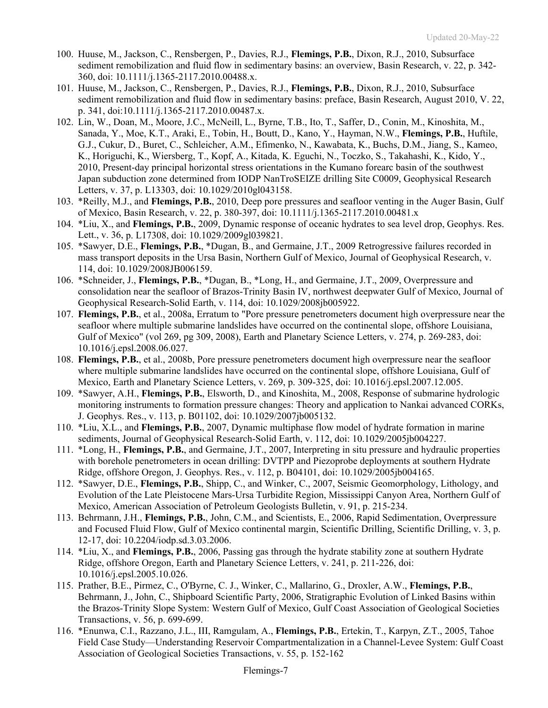- 100. Huuse, M., Jackson, C., Rensbergen, P., Davies, R.J., **Flemings, P.B.**, Dixon, R.J., 2010, Subsurface sediment remobilization and fluid flow in sedimentary basins: an overview, Basin Research, v. 22, p. 342- 360, doi: 10.1111/j.1365-2117.2010.00488.x.
- 101. Huuse, M., Jackson, C., Rensbergen, P., Davies, R.J., **Flemings, P.B.**, Dixon, R.J., 2010, Subsurface sediment remobilization and fluid flow in sedimentary basins: preface, Basin Research, August 2010, V. 22, p. 341, doi:10.1111/j.1365-2117.2010.00487.x.
- 102. Lin, W., Doan, M., Moore, J.C., McNeill, L., Byrne, T.B., Ito, T., Saffer, D., Conin, M., Kinoshita, M., Sanada, Y., Moe, K.T., Araki, E., Tobin, H., Boutt, D., Kano, Y., Hayman, N.W., **Flemings, P.B.**, Huftile, G.J., Cukur, D., Buret, C., Schleicher, A.M., Efimenko, N., Kawabata, K., Buchs, D.M., Jiang, S., Kameo, K., Horiguchi, K., Wiersberg, T., Kopf, A., Kitada, K. Eguchi, N., Toczko, S., Takahashi, K., Kido, Y., 2010, Present-day principal horizontal stress orientations in the Kumano forearc basin of the southwest Japan subduction zone determined from IODP NanTroSEIZE drilling Site C0009, Geophysical Research Letters, v. 37, p. L13303, doi: 10.1029/2010gl043158.
- 103. \*Reilly, M.J., and **Flemings, P.B.**, 2010, Deep pore pressures and seafloor venting in the Auger Basin, Gulf of Mexico, Basin Research, v. 22, p. 380-397, doi: 10.1111/j.1365-2117.2010.00481.x
- 104. \*Liu, X., and **Flemings, P.B.**, 2009, Dynamic response of oceanic hydrates to sea level drop, Geophys. Res. Lett., v. 36, p. L17308, doi: 10.1029/2009gl039821.
- 105. \*Sawyer, D.E., **Flemings, P.B.**, \*Dugan, B., and Germaine, J.T., 2009 Retrogressive failures recorded in mass transport deposits in the Ursa Basin, Northern Gulf of Mexico, Journal of Geophysical Research, v. 114, doi: 10.1029/2008JB006159.
- 106. \*Schneider, J., **Flemings, P.B.**, \*Dugan, B., \*Long, H., and Germaine, J.T., 2009, Overpressure and consolidation near the seafloor of Brazos-Trinity Basin IV, northwest deepwater Gulf of Mexico, Journal of Geophysical Research-Solid Earth, v. 114, doi: 10.1029/2008jb005922.
- 107. **Flemings, P.B.**, et al., 2008a, Erratum to "Pore pressure penetrometers document high overpressure near the seafloor where multiple submarine landslides have occurred on the continental slope, offshore Louisiana, Gulf of Mexico" (vol 269, pg 309, 2008), Earth and Planetary Science Letters, v. 274, p. 269-283, doi: 10.1016/j.epsl.2008.06.027.
- 108. **Flemings, P.B.**, et al., 2008b, Pore pressure penetrometers document high overpressure near the seafloor where multiple submarine landslides have occurred on the continental slope, offshore Louisiana, Gulf of Mexico, Earth and Planetary Science Letters, v. 269, p. 309-325, doi: 10.1016/j.epsl.2007.12.005.
- 109. \*Sawyer, A.H., **Flemings, P.B.**, Elsworth, D., and Kinoshita, M., 2008, Response of submarine hydrologic monitoring instruments to formation pressure changes: Theory and application to Nankai advanced CORKs, J. Geophys. Res., v. 113, p. B01102, doi: 10.1029/2007jb005132.
- 110. \*Liu, X.L., and **Flemings, P.B.**, 2007, Dynamic multiphase flow model of hydrate formation in marine sediments, Journal of Geophysical Research-Solid Earth, v. 112, doi: 10.1029/2005jb004227.
- 111. \*Long, H., **Flemings, P.B.**, and Germaine, J.T., 2007, Interpreting in situ pressure and hydraulic properties with borehole penetrometers in ocean drilling: DVTPP and Piezoprobe deployments at southern Hydrate Ridge, offshore Oregon, J. Geophys. Res., v. 112, p. B04101, doi: 10.1029/2005jb004165.
- 112. \*Sawyer, D.E., **Flemings, P.B.**, Shipp, C., and Winker, C., 2007, Seismic Geomorphology, Lithology, and Evolution of the Late Pleistocene Mars-Ursa Turbidite Region, Mississippi Canyon Area, Northern Gulf of Mexico, American Association of Petroleum Geologists Bulletin, v. 91, p. 215-234.
- 113. Behrmann, J.H., **Flemings, P.B.**, John, C.M., and Scientists, E., 2006, Rapid Sedimentation, Overpressure and Focused Fluid Flow, Gulf of Mexico continental margin, Scientific Drilling, Scientific Drilling, v. 3, p. 12-17, doi: 10.2204/iodp.sd.3.03.2006.
- 114. \*Liu, X., and **Flemings, P.B.**, 2006, Passing gas through the hydrate stability zone at southern Hydrate Ridge, offshore Oregon, Earth and Planetary Science Letters, v. 241, p. 211-226, doi: 10.1016/j.epsl.2005.10.026.
- 115. Prather, B.E., Pirmez, C., O'Byrne, C. J., Winker, C., Mallarino, G., Droxler, A.W., **Flemings, P.B.**, Behrmann, J., John, C., Shipboard Scientific Party, 2006, Stratigraphic Evolution of Linked Basins within the Brazos-Trinity Slope System: Western Gulf of Mexico, Gulf Coast Association of Geological Societies Transactions, v. 56, p. 699-699.
- 116. \*Enunwa, C.I., Razzano, J.L., III, Ramgulam, A., **Flemings, P.B.**, Ertekin, T., Karpyn, Z.T., 2005, Tahoe Field Case Study—Understanding Reservoir Compartmentalization in a Channel-Levee System: Gulf Coast Association of Geological Societies Transactions, v. 55, p. 152-162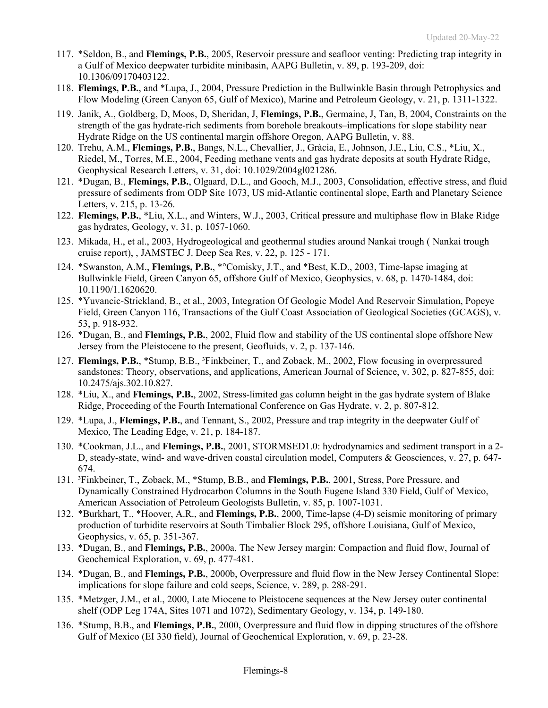- 117. \*Seldon, B., and **Flemings, P.B.**, 2005, Reservoir pressure and seafloor venting: Predicting trap integrity in a Gulf of Mexico deepwater turbidite minibasin, AAPG Bulletin, v. 89, p. 193-209, doi: 10.1306/09170403122.
- 118. **Flemings, P.B.**, and \*Lupa, J., 2004, Pressure Prediction in the Bullwinkle Basin through Petrophysics and Flow Modeling (Green Canyon 65, Gulf of Mexico), Marine and Petroleum Geology, v. 21, p. 1311-1322.
- 119. Janik, A., Goldberg, D, Moos, D, Sheridan, J, **Flemings, P.B.**, Germaine, J, Tan, B, 2004, Constraints on the strength of the gas hydrate-rich sediments from borehole breakouts–implications for slope stability near Hydrate Ridge on the US continental margin offshore Oregon, AAPG Bulletin, v. 88.
- 120. Trehu, A.M., **Flemings, P.B.**, Bangs, N.L., Chevallier, J., Gràcia, E., Johnson, J.E., Liu, C.S., \*Liu, X., Riedel, M., Torres, M.E., 2004, Feeding methane vents and gas hydrate deposits at south Hydrate Ridge, Geophysical Research Letters, v. 31, doi: 10.1029/2004gl021286.
- 121. \*Dugan, B., **Flemings, P.B.**, Olgaard, D.L., and Gooch, M.J., 2003, Consolidation, effective stress, and fluid pressure of sediments from ODP Site 1073, US mid-Atlantic continental slope, Earth and Planetary Science Letters, v. 215, p. 13-26.
- 122. **Flemings, P.B.**, \*Liu, X.L., and Winters, W.J., 2003, Critical pressure and multiphase flow in Blake Ridge gas hydrates, Geology, v. 31, p. 1057-1060.
- 123. Mikada, H., et al., 2003, Hydrogeological and geothermal studies around Nankai trough ( Nankai trough cruise report), , JAMSTEC J. Deep Sea Res, v. 22, p. 125 - 171.
- 124. \*Swanston, A.M., **Flemings, P.B.**, \*°Comisky, J.T., and \*Best, K.D., 2003, Time-lapse imaging at Bullwinkle Field, Green Canyon 65, offshore Gulf of Mexico, Geophysics, v. 68, p. 1470-1484, doi: 10.1190/1.1620620.
- 125. \*Yuvancic-Strickland, B., et al., 2003, Integration Of Geologic Model And Reservoir Simulation, Popeye Field, Green Canyon 116, Transactions of the Gulf Coast Association of Geological Societies (GCAGS), v. 53, p. 918-932.
- 126. \*Dugan, B., and **Flemings, P.B.**, 2002, Fluid flow and stability of the US continental slope offshore New Jersey from the Pleistocene to the present, Geofluids, v. 2, p. 137-146.
- 127. **Flemings, P.B.**, \*Stump, B.B., ³Finkbeiner, T., and Zoback, M., 2002, Flow focusing in overpressured sandstones: Theory, observations, and applications, American Journal of Science, v. 302, p. 827-855, doi: 10.2475/ajs.302.10.827.
- 128. \*Liu, X., and **Flemings, P.B.**, 2002, Stress-limited gas column height in the gas hydrate system of Blake Ridge, Proceeding of the Fourth International Conference on Gas Hydrate, v. 2, p. 807-812.
- 129. \*Lupa, J., **Flemings, P.B.**, and Tennant, S., 2002, Pressure and trap integrity in the deepwater Gulf of Mexico, The Leading Edge, v. 21, p. 184-187.
- 130. \*Cookman, J.L., and **Flemings, P.B.**, 2001, STORMSED1.0: hydrodynamics and sediment transport in a 2- D, steady-state, wind- and wave-driven coastal circulation model, Computers & Geosciences, v. 27, p. 647- 674.
- 131. ³Finkbeiner, T., Zoback, M., \*Stump, B.B., and **Flemings, P.B.**, 2001, Stress, Pore Pressure, and Dynamically Constrained Hydrocarbon Columns in the South Eugene Island 330 Field, Gulf of Mexico, American Association of Petroleum Geologists Bulletin, v. 85, p. 1007-1031.
- 132. \*Burkhart, T., \*Hoover, A.R., and **Flemings, P.B.**, 2000, Time-lapse (4-D) seismic monitoring of primary production of turbidite reservoirs at South Timbalier Block 295, offshore Louisiana, Gulf of Mexico, Geophysics, v. 65, p. 351-367.
- 133. \*Dugan, B., and **Flemings, P.B.**, 2000a, The New Jersey margin: Compaction and fluid flow, Journal of Geochemical Exploration, v. 69, p. 477-481.
- 134. \*Dugan, B., and **Flemings, P.B.**, 2000b, Overpressure and fluid flow in the New Jersey Continental Slope: implications for slope failure and cold seeps, Science, v. 289, p. 288-291.
- 135. \*Metzger, J.M., et al., 2000, Late Miocene to Pleistocene sequences at the New Jersey outer continental shelf (ODP Leg 174A, Sites 1071 and 1072), Sedimentary Geology, v. 134, p. 149-180.
- 136. \*Stump, B.B., and **Flemings, P.B.**, 2000, Overpressure and fluid flow in dipping structures of the offshore Gulf of Mexico (EI 330 field), Journal of Geochemical Exploration, v. 69, p. 23-28.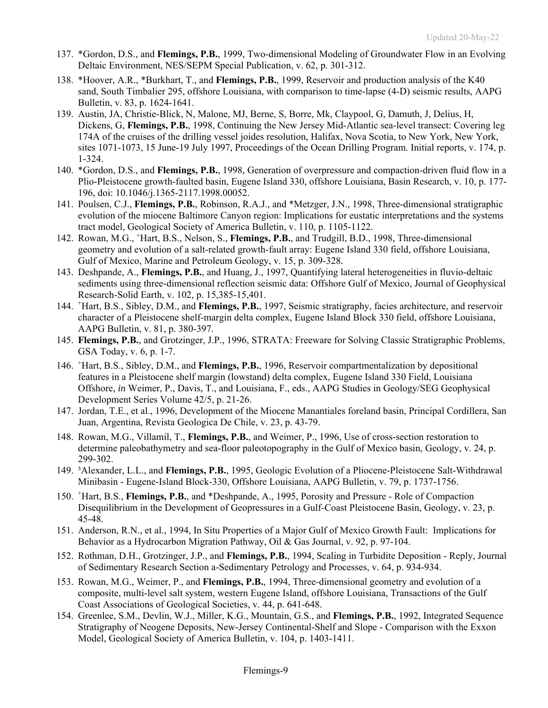- 137. \*Gordon, D.S., and **Flemings, P.B.**, 1999, Two-dimensional Modeling of Groundwater Flow in an Evolving Deltaic Environment, NES/SEPM Special Publication, v. 62, p. 301-312.
- 138. \*Hoover, A.R., \*Burkhart, T., and **Flemings, P.B.**, 1999, Reservoir and production analysis of the K40 sand, South Timbalier 295, offshore Louisiana, with comparison to time-lapse (4-D) seismic results, AAPG Bulletin, v. 83, p. 1624-1641.
- 139. Austin, JA, Christie-Blick, N, Malone, MJ, Berne, S, Borre, Mk, Claypool, G, Damuth, J, Delius, H, Dickens, G, **Flemings, P.B.**, 1998, Continuing the New Jersey Mid-Atlantic sea-level transect: Covering leg 174A of the cruises of the drilling vessel joides resolution, Halifax, Nova Scotia, to New York, New York, sites 1071-1073, 15 June-19 July 1997, Proceedings of the Ocean Drilling Program. Initial reports, v. 174, p. 1-324.
- 140. \*Gordon, D.S., and **Flemings, P.B.**, 1998, Generation of overpressure and compaction-driven fluid flow in a Plio-Pleistocene growth-faulted basin, Eugene Island 330, offshore Louisiana, Basin Research, v. 10, p. 177- 196, doi: 10.1046/j.1365-2117.1998.00052.
- 141. Poulsen, C.J., **Flemings, P.B.**, Robinson, R.A.J., and \*Metzger, J.N., 1998, Three-dimensional stratigraphic evolution of the miocene Baltimore Canyon region: Implications for eustatic interpretations and the systems tract model, Geological Society of America Bulletin, v. 110, p. 1105-1122.
- 142. Rowan, M.G., <sup>+</sup>Hart, B.S., Nelson, S., Flemings, P.B., and Trudgill, B.D., 1998, Three-dimensional geometry and evolution of a salt-related growth-fault array: Eugene Island 330 field, offshore Louisiana, Gulf of Mexico, Marine and Petroleum Geology, v. 15, p. 309-328.
- 143. Deshpande, A., **Flemings, P.B.**, and Huang, J., 1997, Quantifying lateral heterogeneities in fluvio-deltaic sediments using three-dimensional reflection seismic data: Offshore Gulf of Mexico, Journal of Geophysical Research-Solid Earth, v. 102, p. 15,385-15,401.
- 144. <sup>+</sup>Hart, B.S., Sibley, D.M., and **Flemings, P.B.**, 1997, Seismic stratigraphy, facies architecture, and reservoir character of a Pleistocene shelf-margin delta complex, Eugene Island Block 330 field, offshore Louisiana, AAPG Bulletin, v. 81, p. 380-397.
- 145. **Flemings, P.B.**, and Grotzinger, J.P., 1996, STRATA: Freeware for Solving Classic Stratigraphic Problems, GSA Today, v. 6, p. 1-7.
- 146. <sup>+</sup> Hart, B.S., Sibley, D.M., and **Flemings, P.B.**, 1996, Reservoir compartmentalization by depositional features in a Pleistocene shelf margin (lowstand) delta complex, Eugene Island 330 Field, Louisiana Offshore, *in* Weimer, P., Davis, T., and Louisiana, F., eds., AAPG Studies in Geology/SEG Geophysical Development Series Volume 42/5, p. 21-26.
- 147. Jordan, T.E., et al., 1996, Development of the Miocene Manantiales foreland basin, Principal Cordillera, San Juan, Argentina, Revista Geologica De Chile, v. 23, p. 43-79.
- 148. Rowan, M.G., Villamil, T., **Flemings, P.B.**, and Weimer, P., 1996, Use of cross-section restoration to determine paleobathymetry and sea-floor paleotopography in the Gulf of Mexico basin, Geology, v. 24, p. 299-302.
- 149. ³Alexander, L.L., and **Flemings, P.B.**, 1995, Geologic Evolution of a Pliocene-Pleistocene Salt-Withdrawal Minibasin - Eugene-Island Block-330, Offshore Louisiana, AAPG Bulletin, v. 79, p. 1737-1756.
- 150. <sup>+</sup> Hart, B.S., **Flemings, P.B.**, and \*Deshpande, A., 1995, Porosity and Pressure Role of Compaction Disequilibrium in the Development of Geopressures in a Gulf-Coast Pleistocene Basin, Geology, v. 23, p. 45-48.
- 151. Anderson, R.N., et al., 1994, In Situ Properties of a Major Gulf of Mexico Growth Fault: Implications for Behavior as a Hydrocarbon Migration Pathway, Oil & Gas Journal, v. 92, p. 97-104.
- 152. Rothman, D.H., Grotzinger, J.P., and **Flemings, P.B.**, 1994, Scaling in Turbidite Deposition Reply, Journal of Sedimentary Research Section a-Sedimentary Petrology and Processes, v. 64, p. 934-934.
- 153. Rowan, M.G., Weimer, P., and **Flemings, P.B.**, 1994, Three-dimensional geometry and evolution of a composite, multi-level salt system, western Eugene Island, offshore Louisiana, Transactions of the Gulf Coast Associations of Geological Societies, v. 44, p. 641-648.
- 154. Greenlee, S.M., Devlin, W.J., Miller, K.G., Mountain, G.S., and **Flemings, P.B.**, 1992, Integrated Sequence Stratigraphy of Neogene Deposits, New-Jersey Continental-Shelf and Slope - Comparison with the Exxon Model, Geological Society of America Bulletin, v. 104, p. 1403-1411.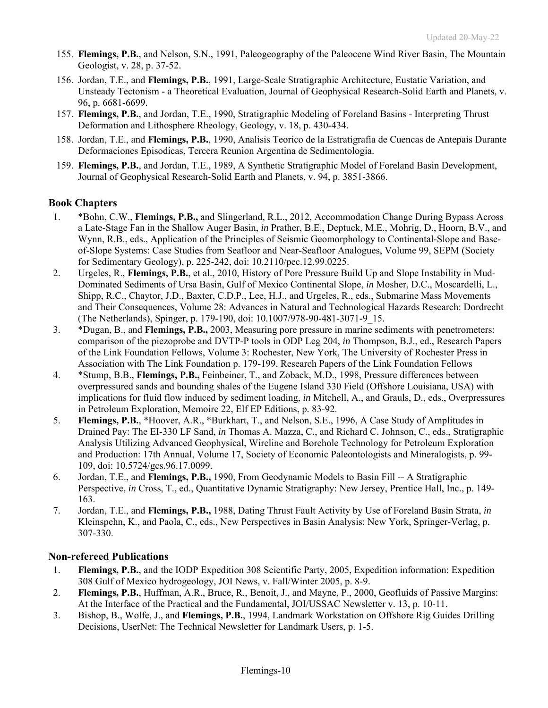- 155. **Flemings, P.B.**, and Nelson, S.N., 1991, Paleogeography of the Paleocene Wind River Basin, The Mountain Geologist, v. 28, p. 37-52.
- 156. Jordan, T.E., and **Flemings, P.B.**, 1991, Large-Scale Stratigraphic Architecture, Eustatic Variation, and Unsteady Tectonism - a Theoretical Evaluation, Journal of Geophysical Research-Solid Earth and Planets, v. 96, p. 6681-6699.
- 157. **Flemings, P.B.**, and Jordan, T.E., 1990, Stratigraphic Modeling of Foreland Basins Interpreting Thrust Deformation and Lithosphere Rheology, Geology, v. 18, p. 430-434.
- 158. Jordan, T.E., and **Flemings, P.B.**, 1990, Analisis Teorico de la Estratigrafia de Cuencas de Antepais Durante Deformaciones Episodicas, Tercera Reunion Argentina de Sedimentologia.
- 159. **Flemings, P.B.**, and Jordan, T.E., 1989, A Synthetic Stratigraphic Model of Foreland Basin Development, Journal of Geophysical Research-Solid Earth and Planets, v. 94, p. 3851-3866.

# **Book Chapters**

- 1. \*Bohn, C.W., **Flemings, P.B.,** and Slingerland, R.L., 2012, Accommodation Change During Bypass Across a Late-Stage Fan in the Shallow Auger Basin, *in* Prather, B.E., Deptuck, M.E., Mohrig, D., Hoorn, B.V., and Wynn, R.B., eds., Application of the Principles of Seismic Geomorphology to Continental-Slope and Baseof-Slope Systems: Case Studies from Seafloor and Near-Seafloor Analogues, Volume 99, SEPM (Society for Sedimentary Geology), p. 225-242, doi: 10.2110/pec.12.99.0225.
- 2. Urgeles, R., **Flemings, P.B.**, et al., 2010, History of Pore Pressure Build Up and Slope Instability in Mud-Dominated Sediments of Ursa Basin, Gulf of Mexico Continental Slope, *in* Mosher, D.C., Moscardelli, L., Shipp, R.C., Chaytor, J.D., Baxter, C.D.P., Lee, H.J., and Urgeles, R., eds., Submarine Mass Movements and Their Consequences, Volume 28: Advances in Natural and Technological Hazards Research: Dordrecht (The Netherlands), Spinger, p. 179-190, doi: 10.1007/978-90-481-3071-9\_15.
- 3. \*Dugan, B., and **Flemings, P.B.,** 2003, Measuring pore pressure in marine sediments with penetrometers: comparison of the piezoprobe and DVTP-P tools in ODP Leg 204, *in* Thompson, B.J., ed., Research Papers of the Link Foundation Fellows, Volume 3: Rochester, New York, The University of Rochester Press in Association with The Link Foundation p. 179-199. Research Papers of the Link Foundation Fellows
- 4. \*Stump, B.B., **Flemings, P.B.,** Feinbeiner, T., and Zoback, M.D., 1998, Pressure differences between overpressured sands and bounding shales of the Eugene Island 330 Field (Offshore Louisiana, USA) with implications for fluid flow induced by sediment loading, *in* Mitchell, A., and Grauls, D., eds., Overpressures in Petroleum Exploration, Memoire 22, Elf EP Editions, p. 83-92.
- 5. **Flemings, P.B.**, \*Hoover, A.R., \*Burkhart, T., and Nelson, S.E., 1996, A Case Study of Amplitudes in Drained Pay: The EI-330 LF Sand, *in* Thomas A. Mazza, C., and Richard C. Johnson, C., eds., Stratigraphic Analysis Utilizing Advanced Geophysical, Wireline and Borehole Technology for Petroleum Exploration and Production: 17th Annual, Volume 17, Society of Economic Paleontologists and Mineralogists, p. 99- 109, doi: 10.5724/gcs.96.17.0099.
- 6. Jordan, T.E., and **Flemings, P.B.,** 1990, From Geodynamic Models to Basin Fill -- A Stratigraphic Perspective, *in* Cross, T., ed., Quantitative Dynamic Stratigraphy: New Jersey, Prentice Hall, Inc., p. 149- 163.
- 7. Jordan, T.E., and **Flemings, P.B.,** 1988, Dating Thrust Fault Activity by Use of Foreland Basin Strata, *in* Kleinspehn, K., and Paola, C., eds., New Perspectives in Basin Analysis: New York, Springer-Verlag, p. 307-330.

### **Non-refereed Publications**

- 1. **Flemings, P.B.**, and the IODP Expedition 308 Scientific Party, 2005, Expedition information: Expedition 308 Gulf of Mexico hydrogeology, JOI News, v. Fall/Winter 2005, p. 8-9.
- 2. **Flemings, P.B.**, Huffman, A.R., Bruce, R., Benoit, J., and Mayne, P., 2000, Geofluids of Passive Margins: At the Interface of the Practical and the Fundamental, JOI/USSAC Newsletter v. 13, p. 10-11.
- 3. Bishop, B., Wolfe, J., and **Flemings, P.B.**, 1994, Landmark Workstation on Offshore Rig Guides Drilling Decisions, UserNet: The Technical Newsletter for Landmark Users, p. 1-5.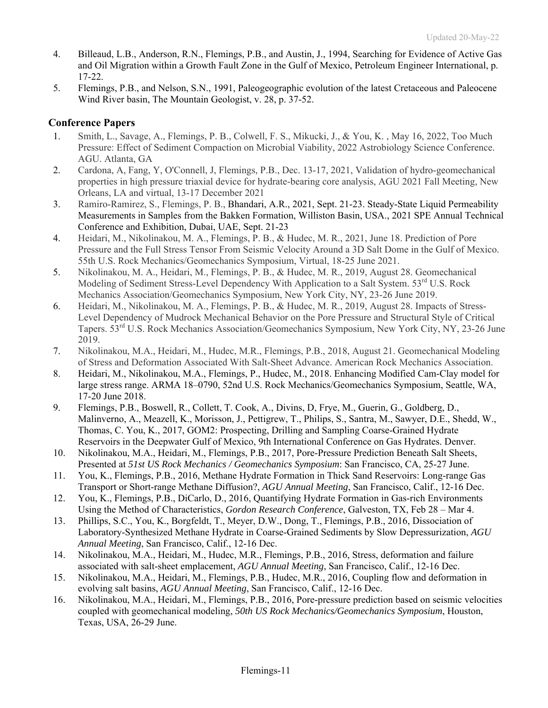- 4. Billeaud, L.B., Anderson, R.N., Flemings, P.B., and Austin, J., 1994, Searching for Evidence of Active Gas and Oil Migration within a Growth Fault Zone in the Gulf of Mexico, Petroleum Engineer International, p. 17-22.
- 5. Flemings, P.B., and Nelson, S.N., 1991, Paleogeographic evolution of the latest Cretaceous and Paleocene Wind River basin, The Mountain Geologist, v. 28, p. 37-52.

# **Conference Papers**

- 1. Smith, L., Savage, A., Flemings, P. B., Colwell, F. S., Mikucki, J., & You, K. , May 16, 2022, Too Much Pressure: Effect of Sediment Compaction on Microbial Viability, 2022 Astrobiology Science Conference. AGU. Atlanta, GA
- 2. Cardona, A, Fang, Y, O'Connell, J, Flemings, P.B., Dec. 13-17, 2021, Validation of hydro-geomechanical properties in high pressure triaxial device for hydrate-bearing core analysis, AGU 2021 Fall Meeting, New Orleans, LA and virtual, 13-17 December 2021
- 3. Ramiro-Ramirez, S., Flemings, P. B., Bhandari, A.R., 2021, Sept. 21-23. Steady-State Liquid Permeability Measurements in Samples from the Bakken Formation, Williston Basin, USA., 2021 SPE Annual Technical Conference and Exhibition, Dubai, UAE, Sept. 21-23
- 4. Heidari, M., Nikolinakou, M. A., Flemings, P. B., & Hudec, M. R., 2021, June 18. Prediction of Pore Pressure and the Full Stress Tensor From Seismic Velocity Around a 3D Salt Dome in the Gulf of Mexico. 55th U.S. Rock Mechanics/Geomechanics Symposium, Virtual, 18-25 June 2021.
- 5. Nikolinakou, M. A., Heidari, M., Flemings, P. B., & Hudec, M. R., 2019, August 28. Geomechanical Modeling of Sediment Stress-Level Dependency With Application to a Salt System. 53<sup>rd</sup> U.S. Rock Mechanics Association/Geomechanics Symposium, New York City, NY, 23-26 June 2019.
- 6. Heidari, M., Nikolinakou, M. A., Flemings, P. B., & Hudec, M. R., 2019, August 28. Impacts of Stress-Level Dependency of Mudrock Mechanical Behavior on the Pore Pressure and Structural Style of Critical Tapers. 53rd U.S. Rock Mechanics Association/Geomechanics Symposium, New York City, NY, 23-26 June 2019.
- 7. Nikolinakou, M.A., Heidari, M., Hudec, M.R., Flemings, P.B., 2018, August 21. Geomechanical Modeling of Stress and Deformation Associated With Salt-Sheet Advance. American Rock Mechanics Association.
- 8. Heidari, M., Nikolinakou, M.A., Flemings, P., Hudec, M., 2018. Enhancing Modified Cam-Clay model for large stress range. ARMA 18–0790, 52nd U.S. Rock Mechanics/Geomechanics Symposium, Seattle, WA, 17-20 June 2018.
- 9. Flemings, P.B., Boswell, R., Collett, T. Cook, A., Divins, D, Frye, M., Guerin, G., Goldberg, D., Malinverno, A., Meazell, K., Morisson, J., Pettigrew, T., Philips, S., Santra, M., Sawyer, D.E., Shedd, W., Thomas, C. You, K., 2017, GOM2: Prospecting, Drilling and Sampling Coarse-Grained Hydrate Reservoirs in the Deepwater Gulf of Mexico, 9th International Conference on Gas Hydrates. Denver.
- 10. Nikolinakou, M.A., Heidari, M., Flemings, P.B., 2017, Pore-Pressure Prediction Beneath Salt Sheets, Presented at *51st US Rock Mechanics / Geomechanics Symposium*: San Francisco, CA, 25-27 June.
- 11. You, K., Flemings, P.B., 2016, Methane Hydrate Formation in Thick Sand Reservoirs: Long-range Gas Transport or Short-range Methane Diffusion?, *AGU Annual Meeting*, San Francisco, Calif., 12-16 Dec.
- 12. You, K., Flemings, P.B., DiCarlo, D., 2016, Quantifying Hydrate Formation in Gas-rich Environments Using the Method of Characteristics, *Gordon Research Conference*, Galveston, TX, Feb 28 – Mar 4.
- 13. Phillips, S.C., You, K., Borgfeldt, T., Meyer, D.W., Dong, T., Flemings, P.B., 2016, Dissociation of Laboratory-Synthesized Methane Hydrate in Coarse-Grained Sediments by Slow Depressurization, *AGU Annual Meeting*, San Francisco, Calif., 12-16 Dec.
- 14. Nikolinakou, M.A., Heidari, M., Hudec, M.R., Flemings, P.B., 2016, Stress, deformation and failure associated with salt-sheet emplacement, *AGU Annual Meeting*, San Francisco, Calif., 12-16 Dec.
- 15. Nikolinakou, M.A., Heidari, M., Flemings, P.B., Hudec, M.R., 2016, Coupling flow and deformation in evolving salt basins, *AGU Annual Meeting*, San Francisco, Calif., 12-16 Dec.
- 16. Nikolinakou, M.A., Heidari, M., Flemings, P.B., 2016, Pore-pressure prediction based on seismic velocities coupled with geomechanical modeling, *50th US Rock Mechanics/Geomechanics Symposium*, Houston, Texas, USA, 26-29 June.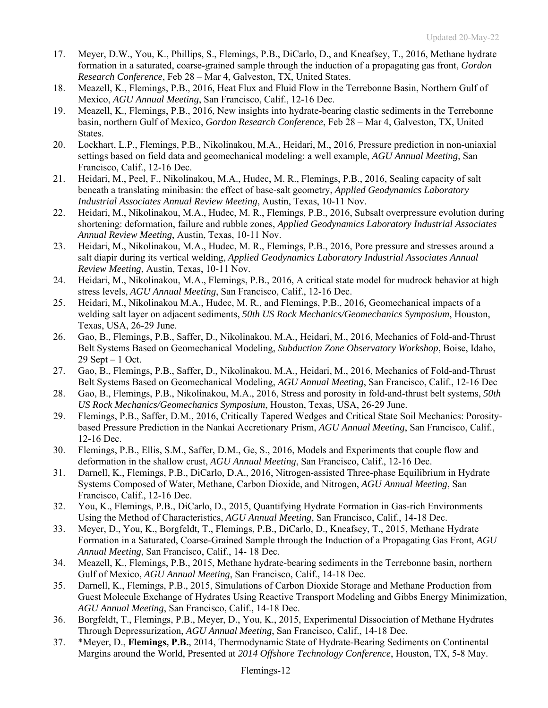- 17. Meyer, D.W., You, K., Phillips, S., Flemings, P.B., DiCarlo, D., and Kneafsey, T., 2016, Methane hydrate formation in a saturated, coarse-grained sample through the induction of a propagating gas front, *Gordon Research Conference*, Feb 28 – Mar 4, Galveston, TX, United States.
- 18. Meazell, K., Flemings, P.B., 2016, Heat Flux and Fluid Flow in the Terrebonne Basin, Northern Gulf of Mexico, *AGU Annual Meeting*, San Francisco, Calif., 12-16 Dec.
- 19. Meazell, K., Flemings, P.B., 2016, New insights into hydrate-bearing clastic sediments in the Terrebonne basin, northern Gulf of Mexico, *Gordon Research Conference*, Feb 28 – Mar 4, Galveston, TX, United States.
- 20. Lockhart, L.P., Flemings, P.B., Nikolinakou, M.A., Heidari, M., 2016, Pressure prediction in non-uniaxial settings based on field data and geomechanical modeling: a well example, *AGU Annual Meeting*, San Francisco, Calif., 12-16 Dec.
- 21. Heidari, M., Peel, F., Nikolinakou, M.A., Hudec, M. R., Flemings, P.B., 2016, Sealing capacity of salt beneath a translating minibasin: the effect of base-salt geometry, *Applied Geodynamics Laboratory Industrial Associates Annual Review Meeting*, Austin, Texas, 10-11 Nov.
- 22. Heidari, M., Nikolinakou, M.A., Hudec, M. R., Flemings, P.B., 2016, Subsalt overpressure evolution during shortening: deformation, failure and rubble zones, *Applied Geodynamics Laboratory Industrial Associates Annual Review Meeting*, Austin, Texas, 10-11 Nov.
- 23. Heidari, M., Nikolinakou, M.A., Hudec, M. R., Flemings, P.B., 2016, Pore pressure and stresses around a salt diapir during its vertical welding, *Applied Geodynamics Laboratory Industrial Associates Annual Review Meeting*, Austin, Texas, 10-11 Nov.
- 24. Heidari, M., Nikolinakou, M.A., Flemings, P.B., 2016, A critical state model for mudrock behavior at high stress levels, *AGU Annual Meeting*, San Francisco, Calif., 12-16 Dec.
- 25. Heidari, M., Nikolinakou M.A., Hudec, M. R., and Flemings, P.B., 2016, Geomechanical impacts of a welding salt layer on adjacent sediments, *50th US Rock Mechanics/Geomechanics Symposium*, Houston, Texas, USA, 26-29 June.
- 26. Gao, B., Flemings, P.B., Saffer, D., Nikolinakou, M.A., Heidari, M., 2016, Mechanics of Fold-and-Thrust Belt Systems Based on Geomechanical Modeling, *Subduction Zone Observatory Workshop*, Boise, Idaho, 29 Sept – 1 Oct.
- 27. Gao, B., Flemings, P.B., Saffer, D., Nikolinakou, M.A., Heidari, M., 2016, Mechanics of Fold-and-Thrust Belt Systems Based on Geomechanical Modeling, *AGU Annual Meeting*, San Francisco, Calif., 12-16 Dec
- 28. Gao, B., Flemings, P.B., Nikolinakou, M.A., 2016, Stress and porosity in fold-and-thrust belt systems, *50th US Rock Mechanics/Geomechanics Symposium*, Houston, Texas, USA, 26-29 June.
- 29. Flemings, P.B., Saffer, D.M., 2016, Critically Tapered Wedges and Critical State Soil Mechanics: Porositybased Pressure Prediction in the Nankai Accretionary Prism, *AGU Annual Meeting*, San Francisco, Calif., 12-16 Dec.
- 30. Flemings, P.B., Ellis, S.M., Saffer, D.M., Ge, S., 2016, Models and Experiments that couple flow and deformation in the shallow crust, *AGU Annual Meeting*, San Francisco, Calif., 12-16 Dec.
- 31. Darnell, K., Flemings, P.B., DiCarlo, D.A., 2016, Nitrogen-assisted Three-phase Equilibrium in Hydrate Systems Composed of Water, Methane, Carbon Dioxide, and Nitrogen, *AGU Annual Meeting*, San Francisco, Calif., 12-16 Dec.
- 32. You, K., Flemings, P.B., DiCarlo, D., 2015, Quantifying Hydrate Formation in Gas-rich Environments Using the Method of Characteristics, *AGU Annual Meeting*, San Francisco, Calif., 14-18 Dec.
- 33. Meyer, D., You, K., Borgfeldt, T., Flemings, P.B., DiCarlo, D., Kneafsey, T., 2015, Methane Hydrate Formation in a Saturated, Coarse-Grained Sample through the Induction of a Propagating Gas Front, *AGU Annual Meeting*, San Francisco, Calif., 14- 18 Dec.
- 34. Meazell, K., Flemings, P.B., 2015, Methane hydrate-bearing sediments in the Terrebonne basin, northern Gulf of Mexico, *AGU Annual Meeting*, San Francisco, Calif., 14-18 Dec.
- 35. Darnell, K., Flemings, P.B., 2015, Simulations of Carbon Dioxide Storage and Methane Production from Guest Molecule Exchange of Hydrates Using Reactive Transport Modeling and Gibbs Energy Minimization, *AGU Annual Meeting*, San Francisco, Calif., 14-18 Dec.
- 36. Borgfeldt, T., Flemings, P.B., Meyer, D., You, K., 2015, Experimental Dissociation of Methane Hydrates Through Depressurization, *AGU Annual Meeting*, San Francisco, Calif., 14-18 Dec.
- 37. \*Meyer, D., **Flemings, P.B.**, 2014, Thermodynamic State of Hydrate-Bearing Sediments on Continental Margins around the World, Presented at *2014 Offshore Technology Conference*, Houston, TX, 5-8 May.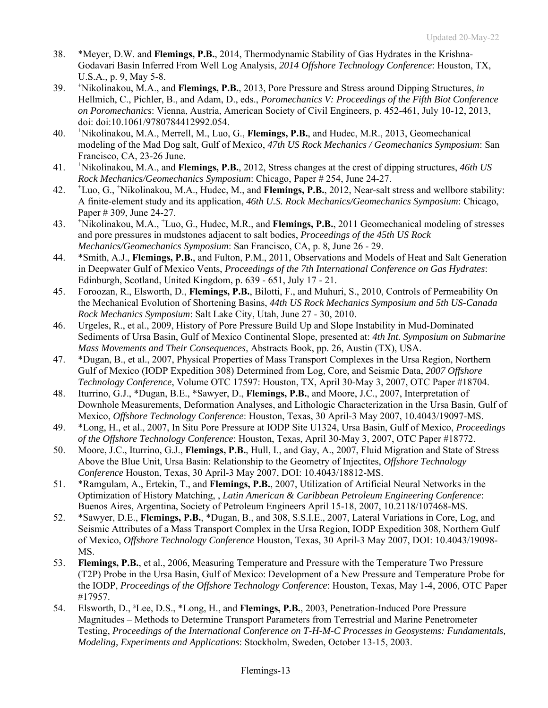- 38. \*Meyer, D.W. and **Flemings, P.B.**, 2014, Thermodynamic Stability of Gas Hydrates in the Krishna-Godavari Basin Inferred From Well Log Analysis, *2014 Offshore Technology Conference*: Houston, TX, U.S.A., p. 9, May 5-8.
- 39. <sup>+</sup> Nikolinakou, M.A., and **Flemings, P.B.**, 2013, Pore Pressure and Stress around Dipping Structures, *in* Hellmich, C., Pichler, B., and Adam, D., eds., *Poromechanics V: Proceedings of the Fifth Biot Conference on Poromechanics*: Vienna, Austria, American Society of Civil Engineers, p. 452-461, July 10-12, 2013, doi: doi:10.1061/9780784412992.054.
- 40. <sup>+</sup> Nikolinakou, M.A., Merrell, M., Luo, G., **Flemings, P.B.**, and Hudec, M.R., 2013, Geomechanical modeling of the Mad Dog salt, Gulf of Mexico, *47th US Rock Mechanics / Geomechanics Symposium*: San Francisco, CA, 23-26 June.
- 41. <sup>+</sup> Nikolinakou, M.A., and **Flemings, P.B.**, 2012, Stress changes at the crest of dipping structures, *46th US Rock Mechanics/Geomechanics Symposium*: Chicago, Paper # 254, June 24-27.
- 42. <sup>+</sup> Luo, G., + Nikolinakou, M.A., Hudec, M., and **Flemings, P.B.**, 2012, Near-salt stress and wellbore stability: A finite-element study and its application, *46th U.S. Rock Mechanics/Geomechanics Symposium*: Chicago, Paper # 309, June 24-27.
- 43. <sup>+</sup> Nikolinakou, M.A., <sup>+</sup> Luo, G., Hudec, M.R., and **Flemings, P.B.**, 2011 Geomechanical modeling of stresses and pore pressures in mudstones adjacent to salt bodies, *Proceedings of the 45th US Rock Mechanics/Geomechanics Symposium*: San Francisco, CA, p. 8, June 26 - 29.
- 44. \*Smith, A.J., **Flemings, P.B.**, and Fulton, P.M., 2011, Observations and Models of Heat and Salt Generation in Deepwater Gulf of Mexico Vents, *Proceedings of the 7th International Conference on Gas Hydrates*: Edinburgh, Scotland, United Kingdom, p. 639 - 651, July 17 - 21.
- 45. Foroozan, R., Elsworth, D., **Flemings, P.B.**, Bilotti, F., and Muhuri, S., 2010, Controls of Permeability On the Mechanical Evolution of Shortening Basins, *44th US Rock Mechanics Symposium and 5th US-Canada Rock Mechanics Symposium*: Salt Lake City, Utah, June 27 - 30, 2010.
- 46. Urgeles, R., et al., 2009, History of Pore Pressure Build Up and Slope Instability in Mud-Dominated Sediments of Ursa Basin, Gulf of Mexico Continental Slope, presented at: *4th Int. Symposium on Submarine Mass Movements and Their Consequences*, Abstracts Book, pp. 26, Austin (TX), USA.
- 47. \*Dugan, B., et al., 2007, Physical Properties of Mass Transport Complexes in the Ursa Region, Northern Gulf of Mexico (IODP Expedition 308) Determined from Log, Core, and Seismic Data, *2007 Offshore Technology Conference*, Volume OTC 17597: Houston, TX, April 30-May 3, 2007, OTC Paper #18704.
- 48. Iturrino, G.J., \*Dugan, B.E., \*Sawyer, D., **Flemings, P.B.**, and Moore, J.C., 2007, Interpretation of Downhole Measurements, Deformation Analyses, and Lithologic Characterization in the Ursa Basin, Gulf of Mexico, *Offshore Technology Conference*: Houston, Texas, 30 April-3 May 2007, 10.4043/19097-MS.
- 49. \*Long, H., et al., 2007, In Situ Pore Pressure at IODP Site U1324, Ursa Basin, Gulf of Mexico, *Proceedings of the Offshore Technology Conference*: Houston, Texas, April 30-May 3, 2007, OTC Paper #18772.
- 50. Moore, J.C., Iturrino, G.J., **Flemings, P.B.**, Hull, I., and Gay, A., 2007, Fluid Migration and State of Stress Above the Blue Unit, Ursa Basin: Relationship to the Geometry of Injectites, *Offshore Technology Conference* Houston, Texas, 30 April-3 May 2007, DOI: 10.4043/18812-MS.
- 51. \*Ramgulam, A., Ertekin, T., and **Flemings, P.B.**, 2007, Utilization of Artificial Neural Networks in the Optimization of History Matching, , *Latin American & Caribbean Petroleum Engineering Conference*: Buenos Aires, Argentina, Society of Petroleum Engineers April 15-18, 2007, 10.2118/107468-MS.
- 52. \*Sawyer, D.E., **Flemings, P.B.**, \*Dugan, B., and 308, S.S.I.E., 2007, Lateral Variations in Core, Log, and Seismic Attributes of a Mass Transport Complex in the Ursa Region, IODP Expedition 308, Northern Gulf of Mexico, *Offshore Technology Conference* Houston, Texas, 30 April-3 May 2007, DOI: 10.4043/19098- MS.
- 53. **Flemings, P.B.**, et al., 2006, Measuring Temperature and Pressure with the Temperature Two Pressure (T2P) Probe in the Ursa Basin, Gulf of Mexico: Development of a New Pressure and Temperature Probe for the IODP, *Proceedings of the Offshore Technology Conference*: Houston, Texas, May 1-4, 2006, OTC Paper #17957.
- 54. Elsworth, D., ³Lee, D.S., \*Long, H., and **Flemings, P.B.**, 2003, Penetration-Induced Pore Pressure Magnitudes – Methods to Determine Transport Parameters from Terrestrial and Marine Penetrometer Testing, *Proceedings of the International Conference on T-H-M-C Processes in Geosystems: Fundamentals, Modeling, Experiments and Applications*: Stockholm, Sweden, October 13-15, 2003.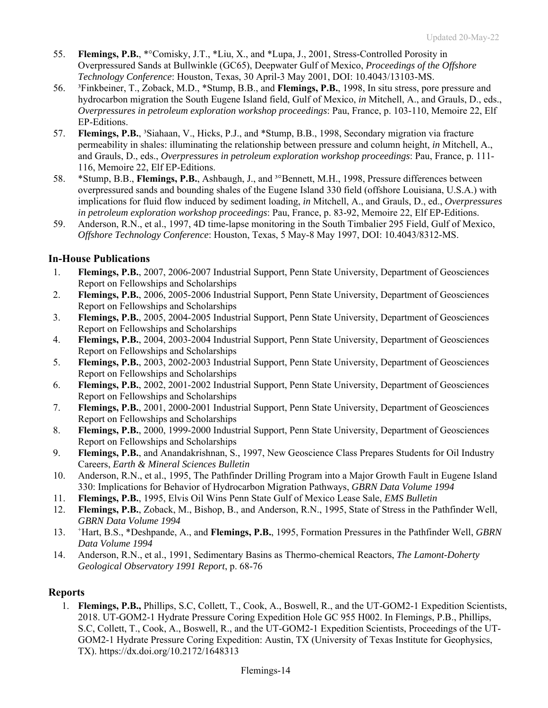- 55. **Flemings, P.B.**, \*°Comisky, J.T., \*Liu, X., and \*Lupa, J., 2001, Stress-Controlled Porosity in Overpressured Sands at Bullwinkle (GC65), Deepwater Gulf of Mexico, *Proceedings of the Offshore Technology Conference*: Houston, Texas, 30 April-3 May 2001, DOI: 10.4043/13103-MS.
- 56. ³Finkbeiner, T., Zoback, M.D., \*Stump, B.B., and **Flemings, P.B.**, 1998, In situ stress, pore pressure and hydrocarbon migration the South Eugene Island field, Gulf of Mexico, *in* Mitchell, A., and Grauls, D., eds., *Overpressures in petroleum exploration workshop proceedings*: Pau, France, p. 103-110, Memoire 22, Elf EP-Editions.
- 57. **Flemings, P.B.**, ³Siahaan, V., Hicks, P.J., and \*Stump, B.B., 1998, Secondary migration via fracture permeability in shales: illuminating the relationship between pressure and column height, *in* Mitchell, A., and Grauls, D., eds., *Overpressures in petroleum exploration workshop proceedings*: Pau, France, p. 111- 116, Memoire 22, Elf EP-Editions.
- 58. \*Stump, B.B., **Flemings, P.B.**, Ashbaugh, J., and ³°Bennett, M.H., 1998, Pressure differences between overpressured sands and bounding shales of the Eugene Island 330 field (offshore Louisiana, U.S.A.) with implications for fluid flow induced by sediment loading, *in* Mitchell, A., and Grauls, D., ed., *Overpressures in petroleum exploration workshop proceedings*: Pau, France, p. 83-92, Memoire 22, Elf EP-Editions.
- 59. Anderson, R.N., et al., 1997, 4D time-lapse monitoring in the South Timbalier 295 Field, Gulf of Mexico, *Offshore Technology Conference*: Houston, Texas, 5 May-8 May 1997, DOI: 10.4043/8312-MS.

# **In-House Publications**

- 1. **Flemings, P.B.**, 2007, 2006-2007 Industrial Support, Penn State University, Department of Geosciences Report on Fellowships and Scholarships
- 2. **Flemings, P.B.**, 2006, 2005-2006 Industrial Support, Penn State University, Department of Geosciences Report on Fellowships and Scholarships
- 3. **Flemings, P.B.**, 2005, 2004-2005 Industrial Support, Penn State University, Department of Geosciences Report on Fellowships and Scholarships
- 4. **Flemings, P.B.**, 2004, 2003-2004 Industrial Support, Penn State University, Department of Geosciences Report on Fellowships and Scholarships
- 5. **Flemings, P.B.**, 2003, 2002-2003 Industrial Support, Penn State University, Department of Geosciences Report on Fellowships and Scholarships
- 6. **Flemings, P.B.**, 2002, 2001-2002 Industrial Support, Penn State University, Department of Geosciences Report on Fellowships and Scholarships
- 7. **Flemings, P.B.**, 2001, 2000-2001 Industrial Support, Penn State University, Department of Geosciences Report on Fellowships and Scholarships
- 8. **Flemings, P.B.**, 2000, 1999-2000 Industrial Support, Penn State University, Department of Geosciences Report on Fellowships and Scholarships
- 9. **Flemings, P.B.**, and Anandakrishnan, S., 1997, New Geoscience Class Prepares Students for Oil Industry Careers, *Earth & Mineral Sciences Bulletin*
- 10. Anderson, R.N., et al., 1995, The Pathfinder Drilling Program into a Major Growth Fault in Eugene Island 330: Implications for Behavior of Hydrocarbon Migration Pathways, *GBRN Data Volume 1994*
- 11. **Flemings, P.B.**, 1995, Elvis Oil Wins Penn State Gulf of Mexico Lease Sale, *EMS Bulletin*
- 12. **Flemings, P.B.**, Zoback, M., Bishop, B., and Anderson, R.N., 1995, State of Stress in the Pathfinder Well, *GBRN Data Volume 1994*
- 13. <sup>+</sup> Hart, B.S., \*Deshpande, A., and **Flemings, P.B.**, 1995, Formation Pressures in the Pathfinder Well, *GBRN Data Volume 1994*
- 14. Anderson, R.N., et al., 1991, Sedimentary Basins as Thermo-chemical Reactors, *The Lamont-Doherty Geological Observatory 1991 Report*, p. 68-76

### **Reports**

1. **Flemings, P.B.,** Phillips, S.C, Collett, T., Cook, A., Boswell, R., and the UT-GOM2-1 Expedition Scientists, 2018. UT-GOM2-1 Hydrate Pressure Coring Expedition Hole GC 955 H002. In Flemings, P.B., Phillips, S.C, Collett, T., Cook, A., Boswell, R., and the UT-GOM2-1 Expedition Scientists, Proceedings of the UT-GOM2-1 Hydrate Pressure Coring Expedition: Austin, TX (University of Texas Institute for Geophysics, TX). https://dx.doi.org/10.2172/1648313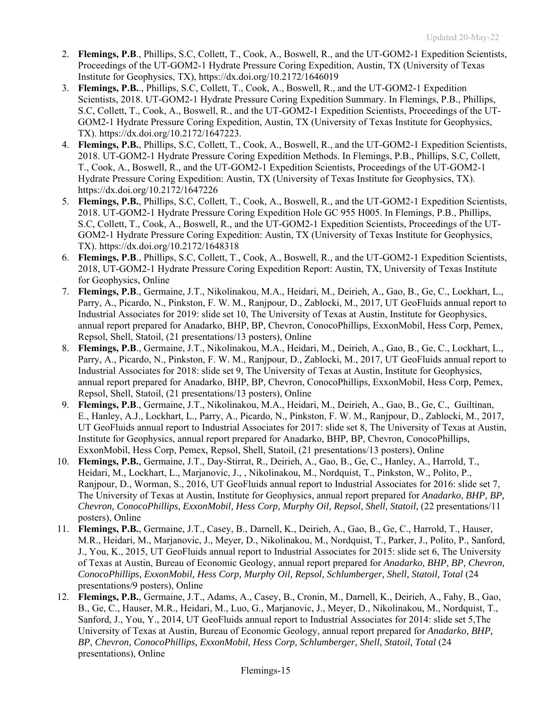- 2. **Flemings, P.B**., Phillips, S.C, Collett, T., Cook, A., Boswell, R., and the UT-GOM2-1 Expedition Scientists, Proceedings of the UT-GOM2-1 Hydrate Pressure Coring Expedition, Austin, TX (University of Texas Institute for Geophysics, TX), https://dx.doi.org/10.2172/1646019
- 3. **Flemings, P.B.**., Phillips, S.C, Collett, T., Cook, A., Boswell, R., and the UT-GOM2-1 Expedition Scientists, 2018. UT-GOM2-1 Hydrate Pressure Coring Expedition Summary. In Flemings, P.B., Phillips, S.C, Collett, T., Cook, A., Boswell, R., and the UT-GOM2-1 Expedition Scientists, Proceedings of the UT-GOM2-1 Hydrate Pressure Coring Expedition, Austin, TX (University of Texas Institute for Geophysics, TX). https://dx.doi.org/10.2172/1647223.
- 4. **Flemings, P.B.**, Phillips, S.C, Collett, T., Cook, A., Boswell, R., and the UT-GOM2-1 Expedition Scientists, 2018. UT-GOM2-1 Hydrate Pressure Coring Expedition Methods. In Flemings, P.B., Phillips, S.C, Collett, T., Cook, A., Boswell, R., and the UT-GOM2-1 Expedition Scientists, Proceedings of the UT-GOM2-1 Hydrate Pressure Coring Expedition: Austin, TX (University of Texas Institute for Geophysics, TX). https://dx.doi.org/10.2172/1647226
- 5. **Flemings, P.B.**, Phillips, S.C, Collett, T., Cook, A., Boswell, R., and the UT-GOM2-1 Expedition Scientists, 2018. UT-GOM2-1 Hydrate Pressure Coring Expedition Hole GC 955 H005. In Flemings, P.B., Phillips, S.C, Collett, T., Cook, A., Boswell, R., and the UT-GOM2-1 Expedition Scientists, Proceedings of the UT-GOM2-1 Hydrate Pressure Coring Expedition: Austin, TX (University of Texas Institute for Geophysics, TX). https://dx.doi.org/10.2172/1648318
- 6. **Flemings, P.B**., Phillips, S.C, Collett, T., Cook, A., Boswell, R., and the UT-GOM2-1 Expedition Scientists, 2018, UT-GOM2-1 Hydrate Pressure Coring Expedition Report: Austin, TX, University of Texas Institute for Geophysics, Online
- 7. **Flemings, P.B**., Germaine, J.T., Nikolinakou, M.A., Heidari, M., Deirieh, A., Gao, B., Ge, C., Lockhart, L., Parry, A., Picardo, N., Pinkston, F. W. M., Ranjpour, D., Zablocki, M., 2017, UT GeoFluids annual report to Industrial Associates for 2019: slide set 10, The University of Texas at Austin, Institute for Geophysics, annual report prepared for Anadarko, BHP, BP, Chevron, ConocoPhillips, ExxonMobil, Hess Corp, Pemex, Repsol, Shell, Statoil, (21 presentations/13 posters), Online
- 8. **Flemings, P.B**., Germaine, J.T., Nikolinakou, M.A., Heidari, M., Deirieh, A., Gao, B., Ge, C., Lockhart, L., Parry, A., Picardo, N., Pinkston, F. W. M., Ranjpour, D., Zablocki, M., 2017, UT GeoFluids annual report to Industrial Associates for 2018: slide set 9, The University of Texas at Austin, Institute for Geophysics, annual report prepared for Anadarko, BHP, BP, Chevron, ConocoPhillips, ExxonMobil, Hess Corp, Pemex, Repsol, Shell, Statoil, (21 presentations/13 posters), Online
- 9. **Flemings, P.B**., Germaine, J.T., Nikolinakou, M.A., Heidari, M., Deirieh, A., Gao, B., Ge, C., Guiltinan, E., Hanley, A.J., Lockhart, L., Parry, A., Picardo, N., Pinkston, F. W. M., Ranjpour, D., Zablocki, M., 2017, UT GeoFluids annual report to Industrial Associates for 2017: slide set 8, The University of Texas at Austin, Institute for Geophysics, annual report prepared for Anadarko, BHP, BP, Chevron, ConocoPhillips, ExxonMobil, Hess Corp, Pemex, Repsol, Shell, Statoil, (21 presentations/13 posters), Online
- 10. **Flemings, P.B.**, Germaine, J.T., Day-Stirrat, R., Deirieh, A., Gao, B., Ge, C., Hanley, A., Harrold, T., Heidari, M., Lockhart, L., Marjanovic, J., , Nikolinakou, M., Nordquist, T., Pinkston, W., Polito, P., Ranjpour, D., Worman, S., 2016, UT GeoFluids annual report to Industrial Associates for 2016: slide set 7, The University of Texas at Austin, Institute for Geophysics, annual report prepared for *Anadarko, BHP, BP, Chevron, ConocoPhillips, ExxonMobil, Hess Corp, Murphy Oil, Repsol, Shell, Statoil,* (22 presentations/11 posters), Online
- 11. **Flemings, P.B.**, Germaine, J.T., Casey, B., Darnell, K., Deirieh, A., Gao, B., Ge, C., Harrold, T., Hauser, M.R., Heidari, M., Marjanovic, J., Meyer, D., Nikolinakou, M., Nordquist, T., Parker, J., Polito, P., Sanford, J., You, K., 2015, UT GeoFluids annual report to Industrial Associates for 2015: slide set 6, The University of Texas at Austin, Bureau of Economic Geology, annual report prepared for *Anadarko, BHP, BP, Chevron, ConocoPhillips, ExxonMobil, Hess Corp, Murphy Oil, Repsol, Schlumberger, Shell, Statoil, Total* (24 presentations/9 posters), Online
- 12. **Flemings, P.B.**, Germaine, J.T., Adams, A., Casey, B., Cronin, M., Darnell, K., Deirieh, A., Fahy, B., Gao, B., Ge, C., Hauser, M.R., Heidari, M., Luo, G., Marjanovic, J., Meyer, D., Nikolinakou, M., Nordquist, T., Sanford, J., You, Y., 2014, UT GeoFluids annual report to Industrial Associates for 2014: slide set 5,The University of Texas at Austin, Bureau of Economic Geology, annual report prepared for *Anadarko, BHP, BP, Chevron, ConocoPhillips, ExxonMobil, Hess Corp, Schlumberger, Shell, Statoil, Total* (24 presentations), Online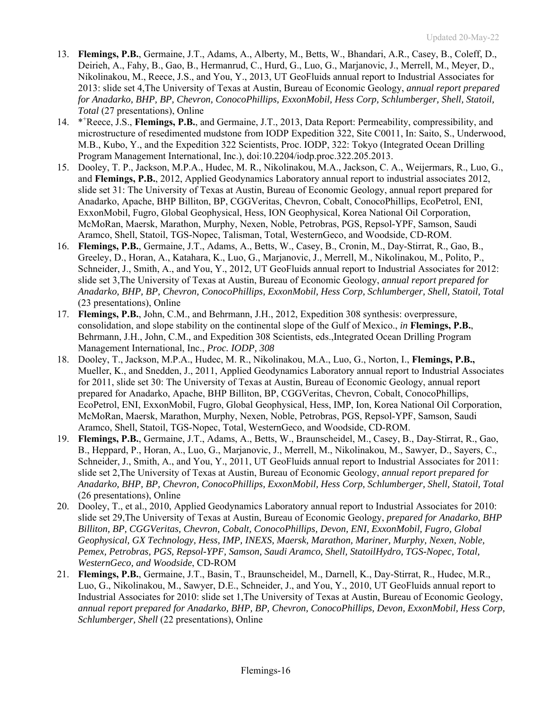- 13. **Flemings, P.B.**, Germaine, J.T., Adams, A., Alberty, M., Betts, W., Bhandari, A.R., Casey, B., Coleff, D., Deirieh, A., Fahy, B., Gao, B., Hermanrud, C., Hurd, G., Luo, G., Marjanovic, J., Merrell, M., Meyer, D., Nikolinakou, M., Reece, J.S., and You, Y., 2013, UT GeoFluids annual report to Industrial Associates for 2013: slide set 4,The University of Texas at Austin, Bureau of Economic Geology, *annual report prepared for Anadarko, BHP, BP, Chevron, ConocoPhillips, ExxonMobil, Hess Corp, Schlumberger, Shell, Statoil, Total* (27 presentations), Online
- 14. \*\*Reece, J.S., Flemings, P.B., and Germaine, J.T., 2013, Data Report: Permeability, compressibility, and microstructure of resedimented mudstone from IODP Expedition 322, Site C0011, In: Saito, S., Underwood, M.B., Kubo, Y., and the Expedition 322 Scientists, Proc. IODP, 322: Tokyo (Integrated Ocean Drilling Program Management International, Inc.), doi:10.2204/iodp.proc.322.205.2013.
- 15. Dooley, T. P., Jackson, M.P.A., Hudec, M. R., Nikolinakou, M.A., Jackson, C. A., Weijermars, R., Luo, G., and **Flemings, P.B.**, 2012, Applied Geodynamics Laboratory annual report to industrial associates 2012, slide set 31: The University of Texas at Austin, Bureau of Economic Geology, annual report prepared for Anadarko, Apache, BHP Billiton, BP, CGGVeritas, Chevron, Cobalt, ConocoPhillips, EcoPetrol, ENI, ExxonMobil, Fugro, Global Geophysical, Hess, ION Geophysical, Korea National Oil Corporation, McMoRan, Maersk, Marathon, Murphy, Nexen, Noble, Petrobras, PGS, Repsol-YPF, Samson, Saudi Aramco, Shell, Statoil, TGS-Nopec, Talisman, Total, WesternGeco, and Woodside, CD-ROM.
- 16. **Flemings, P.B.**, Germaine, J.T., Adams, A., Betts, W., Casey, B., Cronin, M., Day-Stirrat, R., Gao, B., Greeley, D., Horan, A., Katahara, K., Luo, G., Marjanovic, J., Merrell, M., Nikolinakou, M., Polito, P., Schneider, J., Smith, A., and You, Y., 2012, UT GeoFluids annual report to Industrial Associates for 2012: slide set 3,The University of Texas at Austin, Bureau of Economic Geology, *annual report prepared for Anadarko, BHP, BP, Chevron, ConocoPhillips, ExxonMobil, Hess Corp, Schlumberger, Shell, Statoil, Total*  (23 presentations), Online
- 17. **Flemings, P.B.**, John, C.M., and Behrmann, J.H., 2012, Expedition 308 synthesis: overpressure, consolidation, and slope stability on the continental slope of the Gulf of Mexico., *in* **Flemings, P.B.**, Behrmann, J.H., John, C.M., and Expedition 308 Scientists, eds.,Integrated Ocean Drilling Program Management International, Inc., *Proc. IODP, 308*
- 18. Dooley, T., Jackson, M.P.A., Hudec, M. R., Nikolinakou, M.A., Luo, G., Norton, I., **Flemings, P.B.,**  Mueller, K., and Snedden, J., 2011, Applied Geodynamics Laboratory annual report to Industrial Associates for 2011, slide set 30: The University of Texas at Austin, Bureau of Economic Geology, annual report prepared for Anadarko, Apache, BHP Billiton, BP, CGGVeritas, Chevron, Cobalt, ConocoPhillips, EcoPetrol, ENI, ExxonMobil, Fugro, Global Geophysical, Hess, IMP, Ion, Korea National Oil Corporation, McMoRan, Maersk, Marathon, Murphy, Nexen, Noble, Petrobras, PGS, Repsol-YPF, Samson, Saudi Aramco, Shell, Statoil, TGS-Nopec, Total, WesternGeco, and Woodside, CD-ROM.
- 19. **Flemings, P.B.**, Germaine, J.T., Adams, A., Betts, W., Braunscheidel, M., Casey, B., Day-Stirrat, R., Gao, B., Heppard, P., Horan, A., Luo, G., Marjanovic, J., Merrell, M., Nikolinakou, M., Sawyer, D., Sayers, C., Schneider, J., Smith, A., and You, Y., 2011, UT GeoFluids annual report to Industrial Associates for 2011: slide set 2,The University of Texas at Austin, Bureau of Economic Geology, *annual report prepared for Anadarko, BHP, BP, Chevron, ConocoPhillips, ExxonMobil, Hess Corp, Schlumberger, Shell, Statoil, Total*  (26 presentations), Online
- 20. Dooley, T., et al., 2010, Applied Geodynamics Laboratory annual report to Industrial Associates for 2010: slide set 29,The University of Texas at Austin, Bureau of Economic Geology, *prepared for Anadarko, BHP Billiton, BP, CGGVeritas, Chevron, Cobalt, ConocoPhillips, Devon, ENI, ExxonMobil, Fugro, Global Geophysical, GX Technology, Hess, IMP, INEXS, Maersk, Marathon, Mariner, Murphy, Nexen, Noble, Pemex, Petrobras, PGS, Repsol-YPF, Samson, Saudi Aramco, Shell, StatoilHydro, TGS-Nopec, Total, WesternGeco, and Woodside*, CD-ROM
- 21. **Flemings, P.B.**, Germaine, J.T., Basin, T., Braunscheidel, M., Darnell, K., Day-Stirrat, R., Hudec, M.R., Luo, G., Nikolinakou, M., Sawyer, D.E., Schneider, J., and You, Y., 2010, UT GeoFluids annual report to Industrial Associates for 2010: slide set 1,The University of Texas at Austin, Bureau of Economic Geology, *annual report prepared for Anadarko, BHP, BP, Chevron, ConocoPhillips, Devon, ExxonMobil, Hess Corp, Schlumberger, Shell* (22 presentations), Online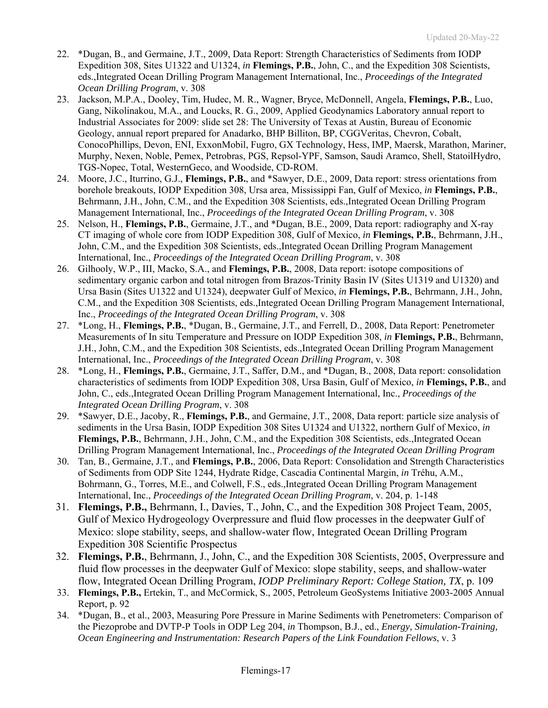- 22. \*Dugan, B., and Germaine, J.T., 2009, Data Report: Strength Characteristics of Sediments from IODP Expedition 308, Sites U1322 and U1324, *in* **Flemings, P.B.**, John, C., and the Expedition 308 Scientists, eds.,Integrated Ocean Drilling Program Management International, Inc., *Proceedings of the Integrated Ocean Drilling Program*, v. 308
- 23. Jackson, M.P.A., Dooley, Tim, Hudec, M. R., Wagner, Bryce, McDonnell, Angela, **Flemings, P.B.**, Luo, Gang, Nikolinakou, M.A., and Loucks, R. G., 2009, Applied Geodynamics Laboratory annual report to Industrial Associates for 2009: slide set 28: The University of Texas at Austin, Bureau of Economic Geology, annual report prepared for Anadarko, BHP Billiton, BP, CGGVeritas, Chevron, Cobalt, ConocoPhillips, Devon, ENI, ExxonMobil, Fugro, GX Technology, Hess, IMP, Maersk, Marathon, Mariner, Murphy, Nexen, Noble, Pemex, Petrobras, PGS, Repsol-YPF, Samson, Saudi Aramco, Shell, StatoilHydro, TGS-Nopec, Total, WesternGeco, and Woodside, CD-ROM.
- 24. Moore, J.C., Iturrino, G.J., **Flemings, P.B.**, and \*Sawyer, D.E., 2009, Data report: stress orientations from borehole breakouts, IODP Expedition 308, Ursa area, Mississippi Fan, Gulf of Mexico, *in* **Flemings, P.B.**, Behrmann, J.H., John, C.M., and the Expedition 308 Scientists, eds.,Integrated Ocean Drilling Program Management International, Inc., *Proceedings of the Integrated Ocean Drilling Program*, v. 308
- 25. Nelson, H., **Flemings, P.B.**, Germaine, J.T., and \*Dugan, B.E., 2009, Data report: radiography and X-ray CT imaging of whole core from IODP Expedition 308, Gulf of Mexico, *in* **Flemings, P.B.**, Behrmann, J.H., John, C.M., and the Expedition 308 Scientists, eds.,Integrated Ocean Drilling Program Management International, Inc., *Proceedings of the Integrated Ocean Drilling Program*, v. 308
- 26. Gilhooly, W.P., III, Macko, S.A., and **Flemings, P.B.**, 2008, Data report: isotope compositions of sedimentary organic carbon and total nitrogen from Brazos-Trinity Basin IV (Sites U1319 and U1320) and Ursa Basin (Sites U1322 and U1324), deepwater Gulf of Mexico, *in* **Flemings, P.B.**, Behrmann, J.H., John, C.M., and the Expedition 308 Scientists, eds.,Integrated Ocean Drilling Program Management International, Inc., *Proceedings of the Integrated Ocean Drilling Program*, v. 308
- 27. \*Long, H., **Flemings, P.B.**, \*Dugan, B., Germaine, J.T., and Ferrell, D., 2008, Data Report: Penetrometer Measurements of In situ Temperature and Pressure on IODP Expedition 308, *in* **Flemings, P.B.**, Behrmann, J.H., John, C.M., and the Expedition 308 Scientists, eds.,Integrated Ocean Drilling Program Management International, Inc., *Proceedings of the Integrated Ocean Drilling Program*, v. 308
- 28. \*Long, H., **Flemings, P.B.**, Germaine, J.T., Saffer, D.M., and \*Dugan, B., 2008, Data report: consolidation characteristics of sediments from IODP Expedition 308, Ursa Basin, Gulf of Mexico, *in* **Flemings, P.B.**, and John, C., eds.,Integrated Ocean Drilling Program Management International, Inc., *Proceedings of the Integrated Ocean Drilling Program*, v. 308
- 29. \*Sawyer, D.E., Jacoby, R., **Flemings, P.B.**, and Germaine, J.T., 2008, Data report: particle size analysis of sediments in the Ursa Basin, IODP Expedition 308 Sites U1324 and U1322, northern Gulf of Mexico, *in* **Flemings, P.B.**, Behrmann, J.H., John, C.M., and the Expedition 308 Scientists, eds.,Integrated Ocean Drilling Program Management International, Inc., *Proceedings of the Integrated Ocean Drilling Program*
- 30. Tan, B., Germaine, J.T., and **Flemings, P.B.**, 2006, Data Report: Consolidation and Strength Characteristics of Sediments from ODP Site 1244, Hydrate Ridge, Cascadia Continental Margin, *in* Tréhu, A.M., Bohrmann, G., Torres, M.E., and Colwell, F.S., eds.,Integrated Ocean Drilling Program Management International, Inc., *Proceedings of the Integrated Ocean Drilling Program*, v. 204, p. 1-148
- 31. **Flemings, P.B.,** Behrmann, I., Davies, T., John, C., and the Expedition 308 Project Team, 2005, Gulf of Mexico Hydrogeology Overpressure and fluid flow processes in the deepwater Gulf of Mexico: slope stability, seeps, and shallow-water flow, Integrated Ocean Drilling Program Expedition 308 Scientific Prospectus
- 32. **Flemings, P.B.**, Behrmann, J., John, C., and the Expedition 308 Scientists, 2005, Overpressure and fluid flow processes in the deepwater Gulf of Mexico: slope stability, seeps, and shallow-water flow, Integrated Ocean Drilling Program, *IODP Preliminary Report: College Station, TX*, p. 109
- 33. **Flemings, P.B.,** Ertekin, T., and McCormick, S., 2005, Petroleum GeoSystems Initiative 2003-2005 Annual Report, p. 92
- 34. \*Dugan, B., et al., 2003, Measuring Pore Pressure in Marine Sediments with Penetrometers: Comparison of the Piezoprobe and DVTP-P Tools in ODP Leg 204, *in* Thompson, B.J., ed., *Energy, Simulation-Training, Ocean Engineering and Instrumentation: Research Papers of the Link Foundation Fellows*, v. 3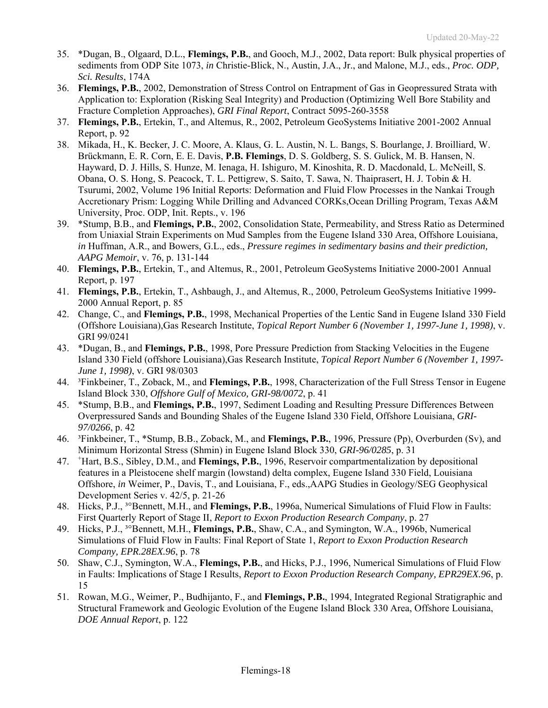- 35. \*Dugan, B., Olgaard, D.L., **Flemings, P.B.**, and Gooch, M.J., 2002, Data report: Bulk physical properties of sediments from ODP Site 1073, *in* Christie-Blick, N., Austin, J.A., Jr., and Malone, M.J., eds., *Proc. ODP, Sci. Results*, 174A
- 36. **Flemings, P.B.**, 2002, Demonstration of Stress Control on Entrapment of Gas in Geopressured Strata with Application to: Exploration (Risking Seal Integrity) and Production (Optimizing Well Bore Stability and Fracture Completion Approaches), *GRI Final Report*, Contract 5095-260-3558
- 37. **Flemings, P.B.**, Ertekin, T., and Altemus, R., 2002, Petroleum GeoSystems Initiative 2001-2002 Annual Report, p. 92
- 38. Mikada, H., K. Becker, J. C. Moore, A. Klaus, G. L. Austin, N. L. Bangs, S. Bourlange, J. Broilliard, W. Brückmann, E. R. Corn, E. E. Davis, **P.B. Flemings**, D. S. Goldberg, S. S. Gulick, M. B. Hansen, N. Hayward, D. J. Hills, S. Hunze, M. Ienaga, H. Ishiguro, M. Kinoshita, R. D. Macdonald, L. McNeill, S. Obana, O. S. Hong, S. Peacock, T. L. Pettigrew, S. Saito, T. Sawa, N. Thaiprasert, H. J. Tobin & H. Tsurumi, 2002, Volume 196 Initial Reports: Deformation and Fluid Flow Processes in the Nankai Trough Accretionary Prism: Logging While Drilling and Advanced CORKs,Ocean Drilling Program, Texas A&M University, Proc. ODP, Init. Repts., v. 196
- 39. \*Stump, B.B., and **Flemings, P.B.**, 2002, Consolidation State, Permeability, and Stress Ratio as Determined from Uniaxial Strain Experiments on Mud Samples from the Eugene Island 330 Area, Offshore Louisiana, *in* Huffman, A.R., and Bowers, G.L., eds., *Pressure regimes in sedimentary basins and their prediction, AAPG Memoir*, v. 76, p. 131-144
- 40. **Flemings, P.B.**, Ertekin, T., and Altemus, R., 2001, Petroleum GeoSystems Initiative 2000-2001 Annual Report, p. 197
- 41. **Flemings, P.B.**, Ertekin, T., Ashbaugh, J., and Altemus, R., 2000, Petroleum GeoSystems Initiative 1999- 2000 Annual Report, p. 85
- 42. Change, C., and **Flemings, P.B.**, 1998, Mechanical Properties of the Lentic Sand in Eugene Island 330 Field (Offshore Louisiana),Gas Research Institute, *Topical Report Number 6 (November 1, 1997-June 1, 1998)*, v. GRI 99/0241
- 43. \*Dugan, B., and **Flemings, P.B.**, 1998, Pore Pressure Prediction from Stacking Velocities in the Eugene Island 330 Field (offshore Louisiana),Gas Research Institute, *Topical Report Number 6 (November 1, 1997- June 1, 1998)*, v. GRI 98/0303
- 44. ³Finkbeiner, T., Zoback, M., and **Flemings, P.B.**, 1998, Characterization of the Full Stress Tensor in Eugene Island Block 330, *Offshore Gulf of Mexico, GRI-98/0072*, p. 41
- 45. \*Stump, B.B., and **Flemings, P.B.**, 1997, Sediment Loading and Resulting Pressure Differences Between Overpressured Sands and Bounding Shales of the Eugene Island 330 Field, Offshore Louisiana, *GRI-97/0266*, p. 42
- 46. ³Finkbeiner, T., \*Stump, B.B., Zoback, M., and **Flemings, P.B.**, 1996, Pressure (Pp), Overburden (Sv), and Minimum Horizontal Stress (Shmin) in Eugene Island Block 330, *GRI-96/0285*, p. 31
- 47. <sup>+</sup> Hart, B.S., Sibley, D.M., and **Flemings, P.B.**, 1996, Reservoir compartmentalization by depositional features in a Pleistocene shelf margin (lowstand) delta complex, Eugene Island 330 Field, Louisiana Offshore, *in* Weimer, P., Davis, T., and Louisiana, F., eds.,AAPG Studies in Geology/SEG Geophysical Development Series v. 42/5, p. 21-26
- 48. Hicks, P.J., ³°Bennett, M.H., and **Flemings, P.B.**, 1996a, Numerical Simulations of Fluid Flow in Faults: First Quarterly Report of Stage II, *Report to Exxon Production Research Company*, p. 27
- 49. Hicks, P.J., ³°Bennett, M.H., **Flemings, P.B.**, Shaw, C.A., and Symington, W.A., 1996b, Numerical Simulations of Fluid Flow in Faults: Final Report of State 1, *Report to Exxon Production Research Company, EPR.28EX.96*, p. 78
- 50. Shaw, C.J., Symington, W.A., **Flemings, P.B.**, and Hicks, P.J., 1996, Numerical Simulations of Fluid Flow in Faults: Implications of Stage I Results, *Report to Exxon Production Research Company, EPR29EX.96*, p. 15
- 51. Rowan, M.G., Weimer, P., Budhijanto, F., and **Flemings, P.B.**, 1994, Integrated Regional Stratigraphic and Structural Framework and Geologic Evolution of the Eugene Island Block 330 Area, Offshore Louisiana, *DOE Annual Report*, p. 122